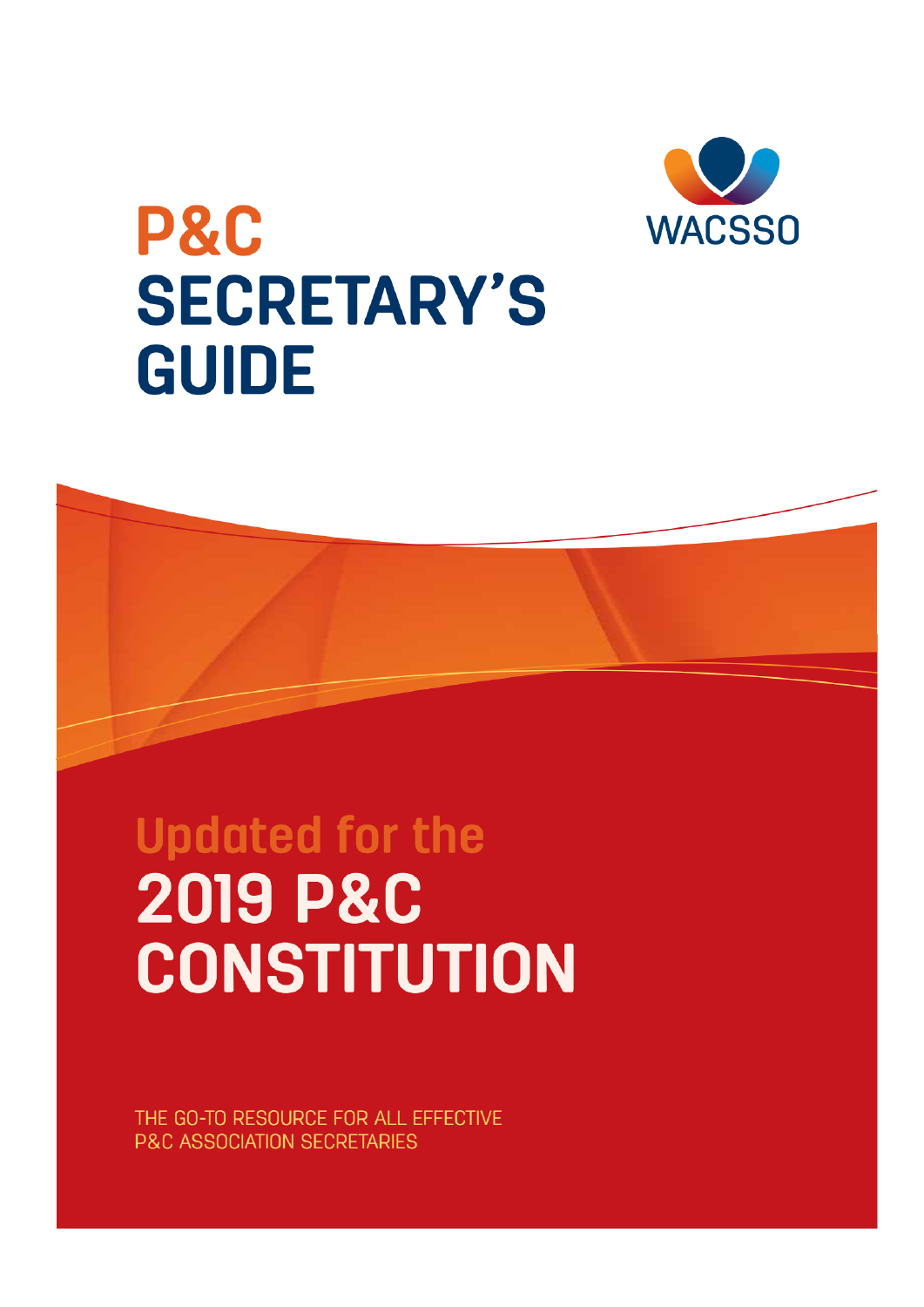

# P&C **SECRETARY'S GUIDE**

# **Updated for the 2019 P&C CONSTITUTION**

THE GO-TO RESOURCE FOR ALL EFFECTIVE **P&C ASSOCIATION SECRETARIES**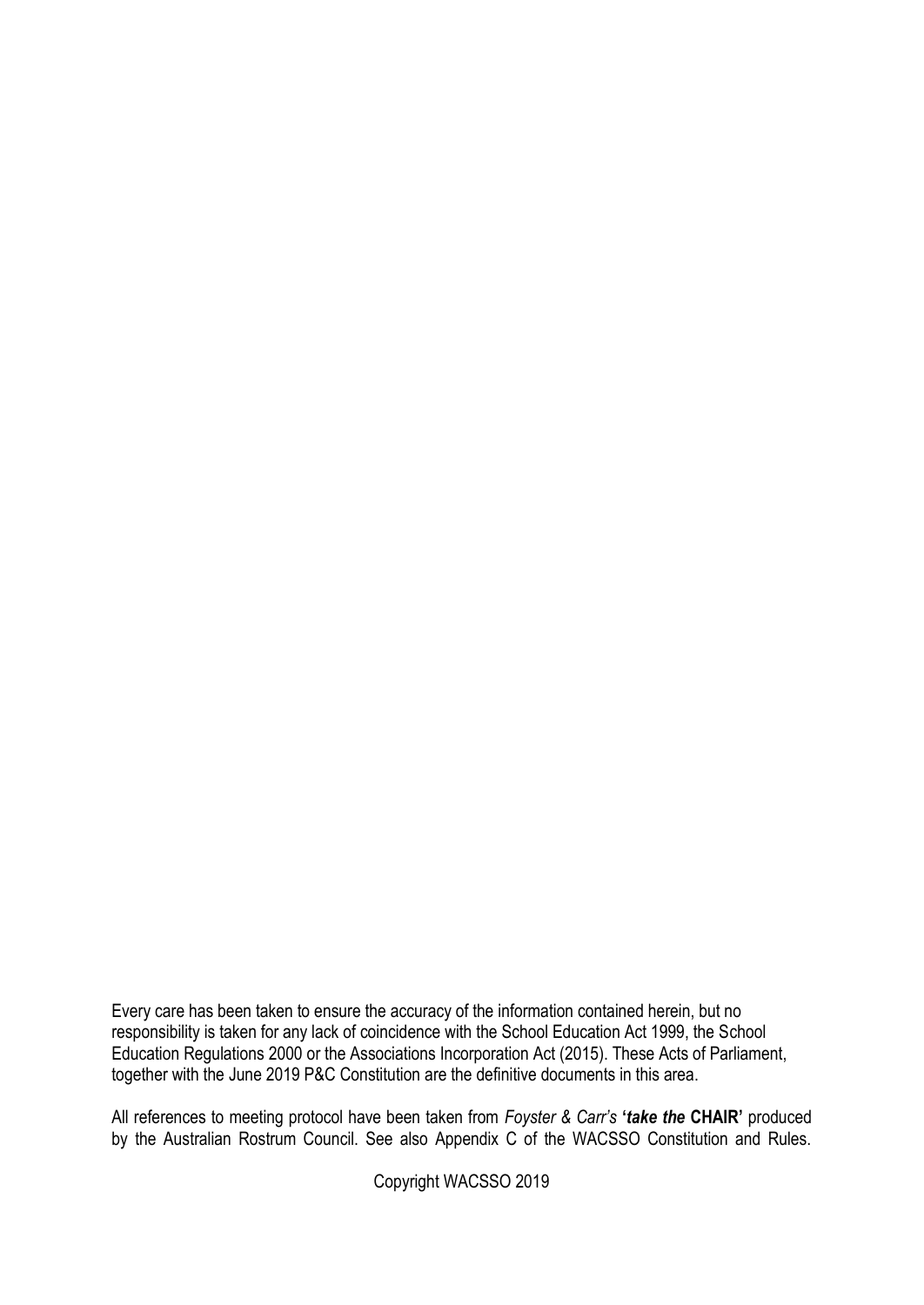Every care has been taken to ensure the accuracy of the information contained herein, but no responsibility is taken for any lack of coincidence with the School Education Act 1999, the School Education Regulations 2000 or the Associations Incorporation Act (2015). These Acts of Parliament, together with the June 2019 P&C Constitution are the definitive documents in this area.

All references to meeting protocol have been taken from *Foyster & Carr's* **'***take the* **CHAIR'** produced by the Australian Rostrum Council. See also Appendix C of the WACSSO Constitution and Rules.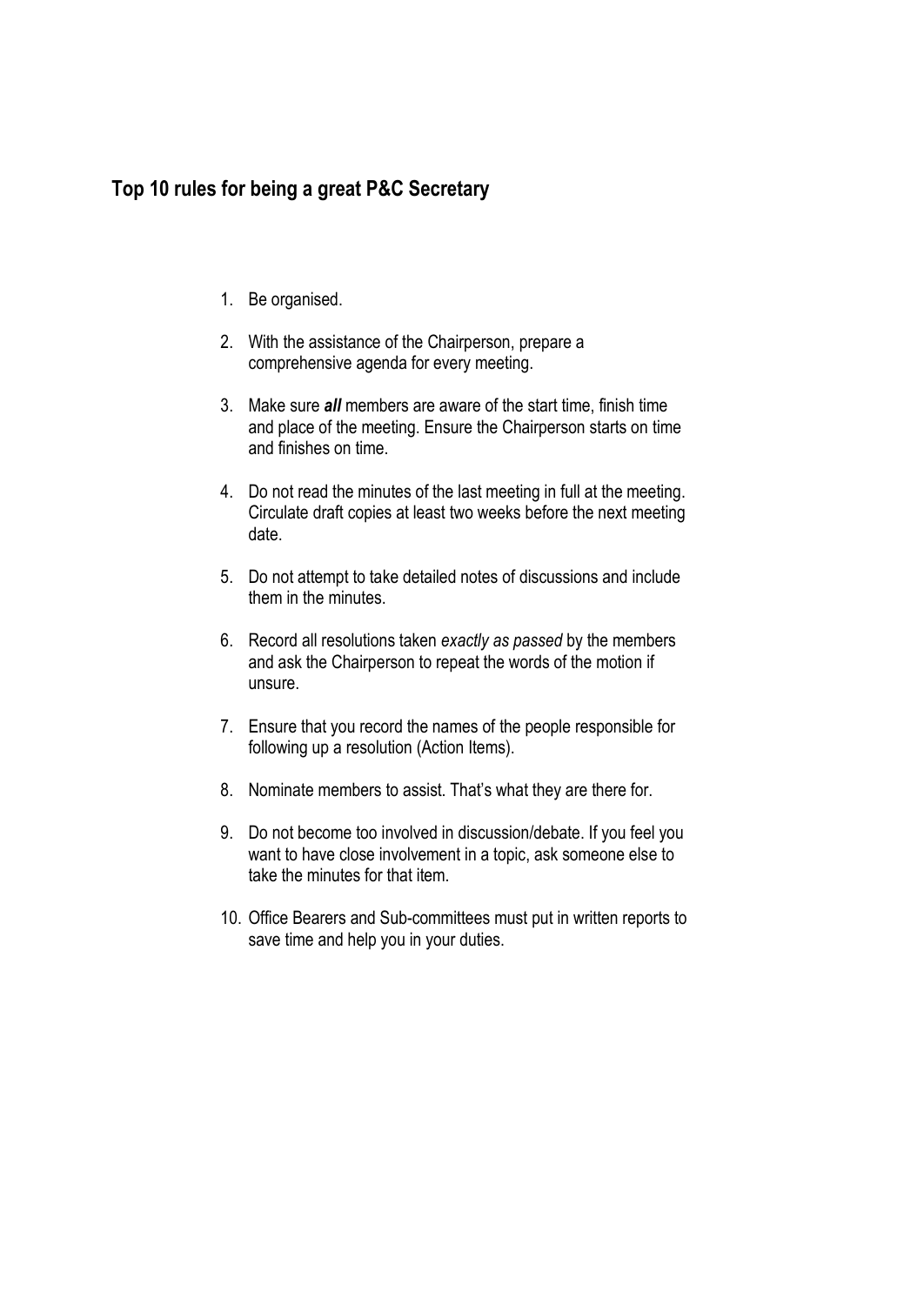### **Top 10 rules for being a great P&C Secretary**

- 1. Be organised.
- 2. With the assistance of the Chairperson, prepare a comprehensive agenda for every meeting.
- 3. Make sure *all* members are aware of the start time, finish time and place of the meeting. Ensure the Chairperson starts on time and finishes on time.
- 4. Do not read the minutes of the last meeting in full at the meeting. Circulate draft copies at least two weeks before the next meeting date.
- 5. Do not attempt to take detailed notes of discussions and include them in the minutes.
- 6. Record all resolutions taken *exactly as passed* by the members and ask the Chairperson to repeat the words of the motion if unsure.
- 7. Ensure that you record the names of the people responsible for following up a resolution (Action Items).
- 8. Nominate members to assist. That's what they are there for.
- 9. Do not become too involved in discussion/debate. If you feel you want to have close involvement in a topic, ask someone else to take the minutes for that item.
- 10. Office Bearers and Sub-committees must put in written reports to save time and help you in your duties.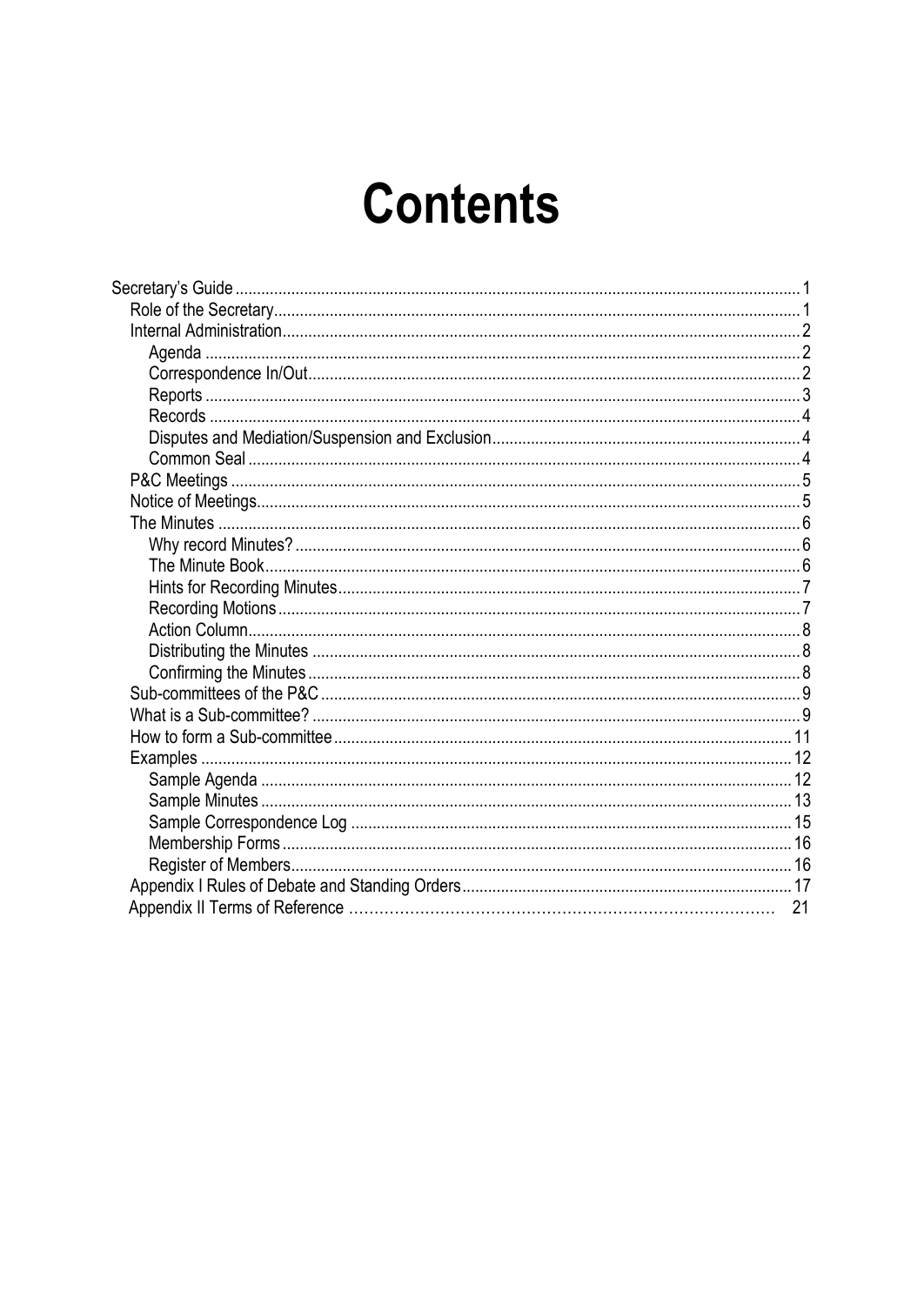# **Contents**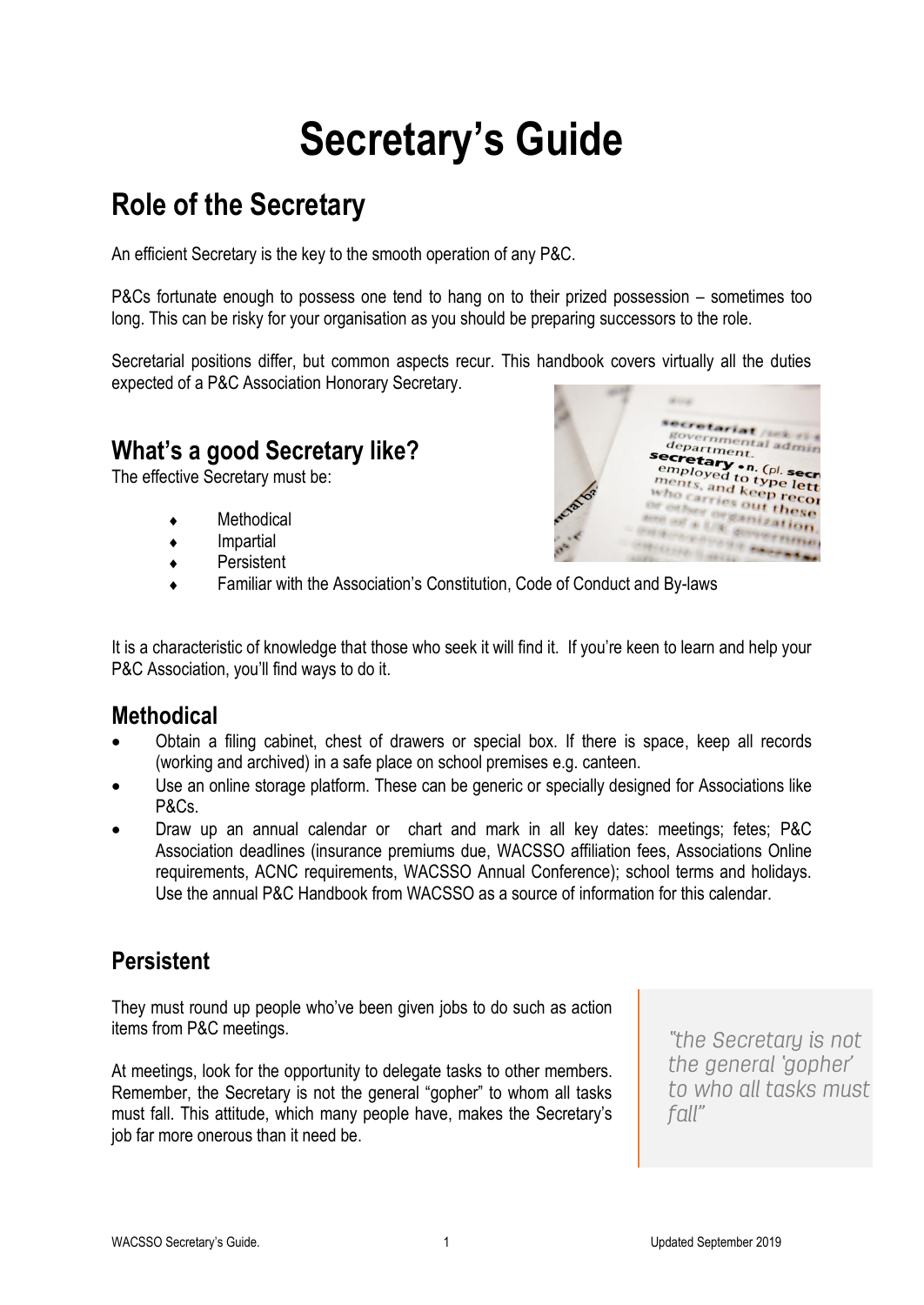# **Secretary's Guide**

# <span id="page-4-1"></span><span id="page-4-0"></span>**Role of the Secretary**

An efficient Secretary is the key to the smooth operation of any P&C.

P&Cs fortunate enough to possess one tend to hang on to their prized possession – sometimes too long. This can be risky for your organisation as you should be preparing successors to the role.

Secretarial positions differ, but common aspects recur. This handbook covers virtually all the duties expected of a P&C Association Honorary Secretary.

### **What's a good Secretary like?**

The effective Secretary must be:

- **Methodical**
- Impartial
- ◆ Persistent
- Familiar with the Association's Constitution, Code of Conduct and By-laws

It is a characteristic of knowledge that those who seek it will find it. If you're keen to learn and help your P&C Association, you'll find ways to do it.

### **Methodical**

- Obtain a filing cabinet, chest of drawers or special box. If there is space, keep all records (working and archived) in a safe place on school premises e.g. canteen.
- Use an online storage platform. These can be generic or specially designed for Associations like P&Cs.
- Draw up an annual calendar or chart and mark in all key dates: meetings; fetes; P&C Association deadlines (insurance premiums due, WACSSO affiliation fees, Associations Online requirements, ACNC requirements, WACSSO Annual Conference); school terms and holidays. Use the annual P&C Handbook from WACSSO as a source of information for this calendar.

### **Persistent**

They must round up people who've been given jobs to do such as action items from P&C meetings.

At meetings, look for the opportunity to delegate tasks to other members. Remember, the Secretary is not the general "gopher" to whom all tasks must fall. This attitude, which many people have, makes the Secretary's job far more onerous than it need be.

"the Secretary is not the general *gopher* to who all tasks must fall"

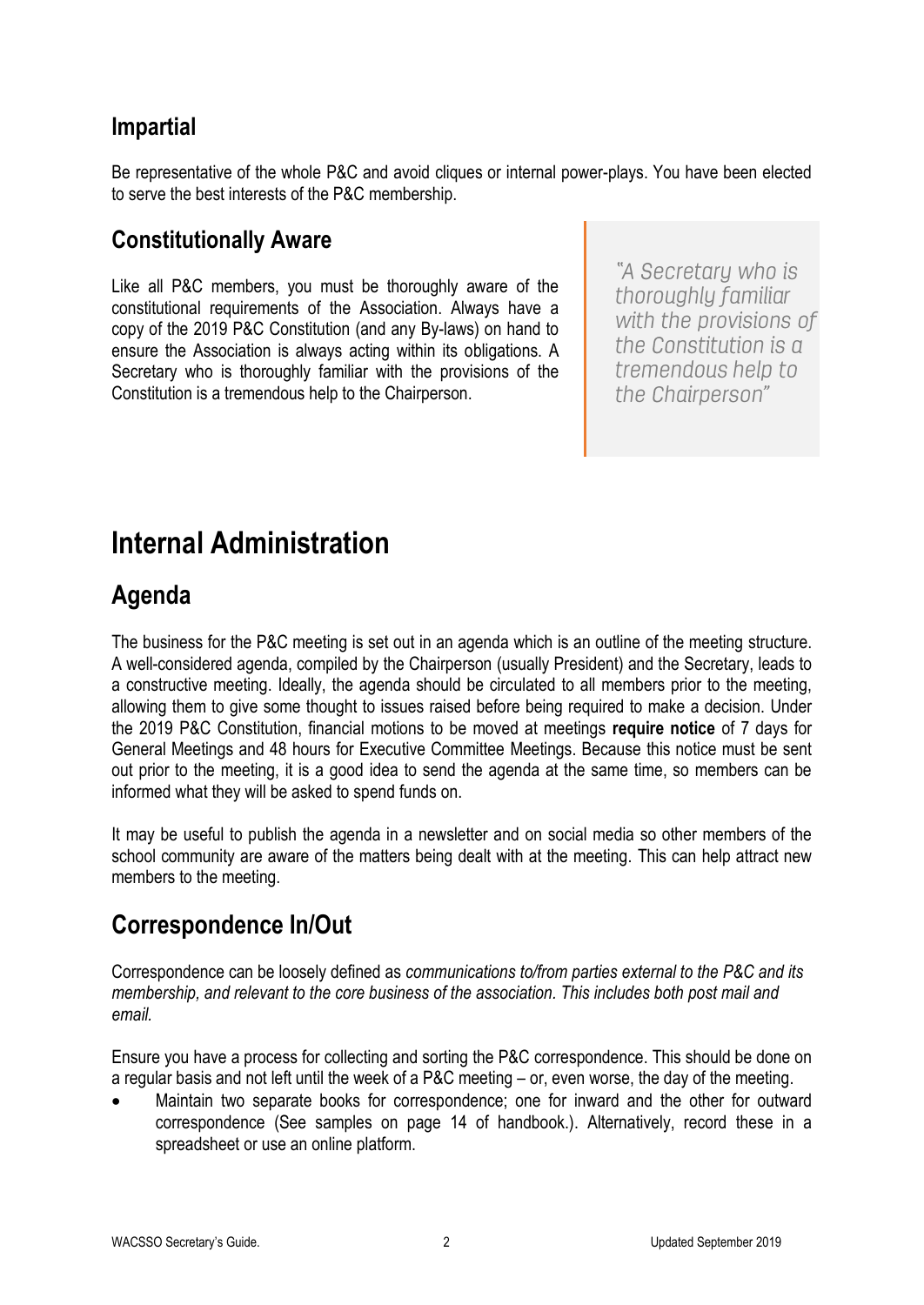### **Impartial**

Be representative of the whole P&C and avoid cliques or internal power-plays. You have been elected to serve the best interests of the P&C membership.

### **Constitutionally Aware**

Like all P&C members, you must be thoroughly aware of the constitutional requirements of the Association. Always have a copy of the 2019 P&C Constitution (and any By-laws) on hand to ensure the Association is always acting within its obligations. A Secretary who is thoroughly familiar with the provisions of the Constitution is a tremendous help to the Chairperson.

"A Secretary who is thoroughly familiar with the provisions of the Constitution is a tremendous help to the Chairperson"

# <span id="page-5-0"></span>**Internal Administration**

## <span id="page-5-1"></span>**Agenda**

The business for the P&C meeting is set out in an agenda which is an outline of the meeting structure. A well-considered agenda, compiled by the Chairperson (usually President) and the Secretary, leads to a constructive meeting. Ideally, the agenda should be circulated to all members prior to the meeting, allowing them to give some thought to issues raised before being required to make a decision. Under the 2019 P&C Constitution, financial motions to be moved at meetings **require notice** of 7 days for General Meetings and 48 hours for Executive Committee Meetings. Because this notice must be sent out prior to the meeting, it is a good idea to send the agenda at the same time, so members can be informed what they will be asked to spend funds on.

It may be useful to publish the agenda in a newsletter and on social media so other members of the school community are aware of the matters being dealt with at the meeting. This can help attract new members to the meeting.

### <span id="page-5-2"></span>**Correspondence In/Out**

Correspondence can be loosely defined as *communications to/from parties external to the P&C and its membership, and relevant to the core business of the association. This includes both post mail and email.*

Ensure you have a process for collecting and sorting the P&C correspondence. This should be done on a regular basis and not left until the week of a P&C meeting – or, even worse, the day of the meeting.

• Maintain two separate books for correspondence; one for inward and the other for outward correspondence (See samples on page 14 of handbook.). Alternatively, record these in a spreadsheet or use an online platform.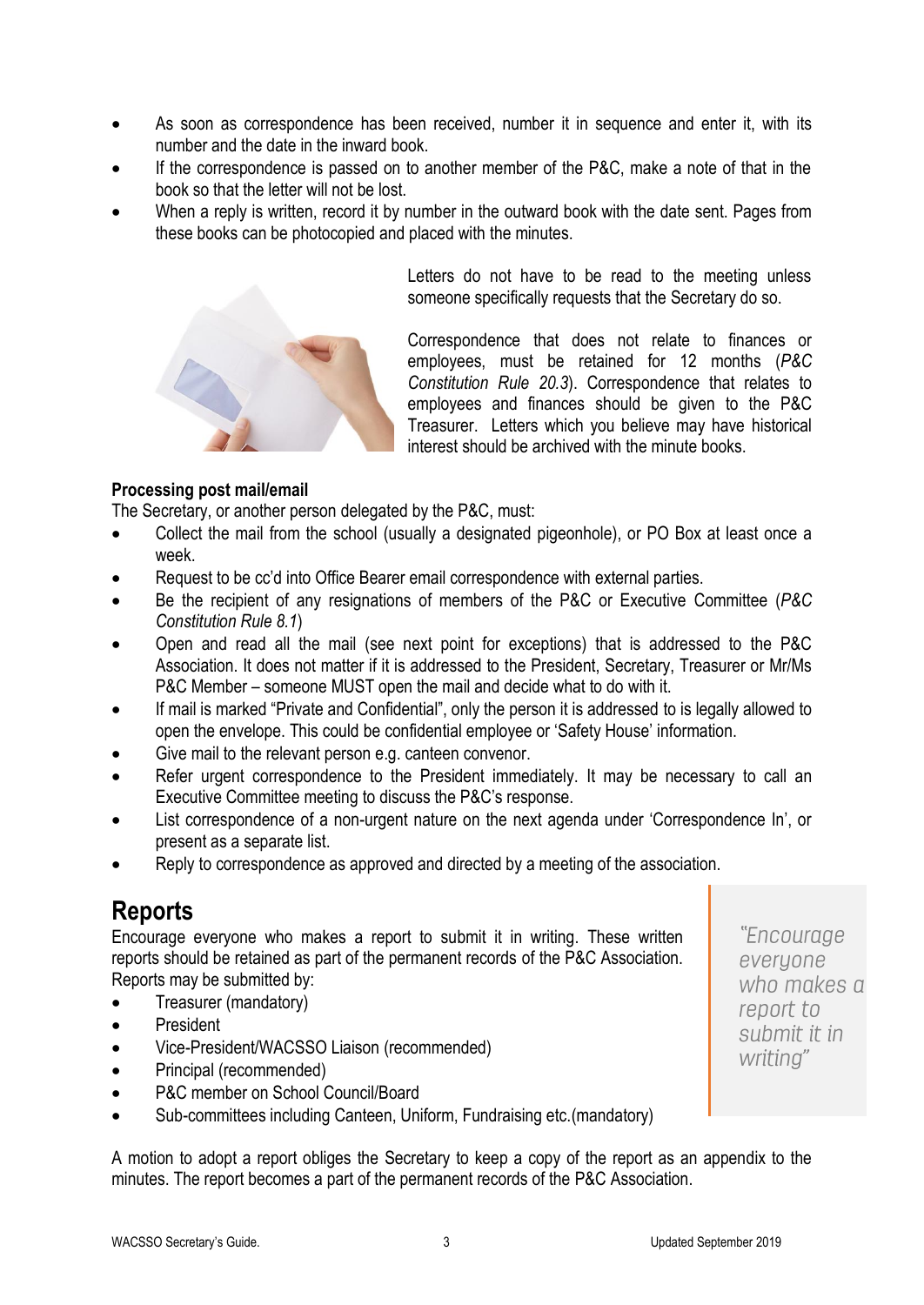- As soon as correspondence has been received, number it in sequence and enter it, with its number and the date in the inward book.
- If the correspondence is passed on to another member of the P&C, make a note of that in the book so that the letter will not be lost.
- When a reply is written, record it by number in the outward book with the date sent. Pages from these books can be photocopied and placed with the minutes.



Letters do not have to be read to the meeting unless someone specifically requests that the Secretary do so.

Correspondence that does not relate to finances or employees, must be retained for 12 months (*P&C Constitution Rule 20.3*). Correspondence that relates to employees and finances should be given to the P&C Treasurer. Letters which you believe may have historical interest should be archived with the minute books.

#### **Processing post mail/email**

The Secretary, or another person delegated by the P&C, must:

- Collect the mail from the school (usually a designated pigeonhole), or PO Box at least once a week.
- Request to be cc'd into Office Bearer email correspondence with external parties.
- Be the recipient of any resignations of members of the P&C or Executive Committee (*P&C Constitution Rule 8.1*)
- Open and read all the mail (see next point for exceptions) that is addressed to the P&C Association. It does not matter if it is addressed to the President, Secretary, Treasurer or Mr/Ms P&C Member – someone MUST open the mail and decide what to do with it.
- If mail is marked "Private and Confidential", only the person it is addressed to is legally allowed to open the envelope. This could be confidential employee or 'Safety House' information.
- Give mail to the relevant person e.g. canteen convenor.
- Refer urgent correspondence to the President immediately. It may be necessary to call an Executive Committee meeting to discuss the P&C's response.
- List correspondence of a non-urgent nature on the next agenda under 'Correspondence In', or present as a separate list.
- Reply to correspondence as approved and directed by a meeting of the association.

### <span id="page-6-0"></span>**Reports**

Encourage everyone who makes a report to submit it in writing. These written reports should be retained as part of the permanent records of the P&C Association. Reports may be submitted by:

• Treasurer (mandatory)

- **President**
- Vice-President/WACSSO Liaison (recommended)
- Principal (recommended)
- P&C member on School Council/Board
- Sub-committees including Canteen, Uniform, Fundraising etc.(mandatory)

A motion to adopt a report obliges the Secretary to keep a copy of the report as an appendix to the minutes. The report becomes a part of the permanent records of the P&C Association.

"Encourage everyone who makes a report to submit it in writing"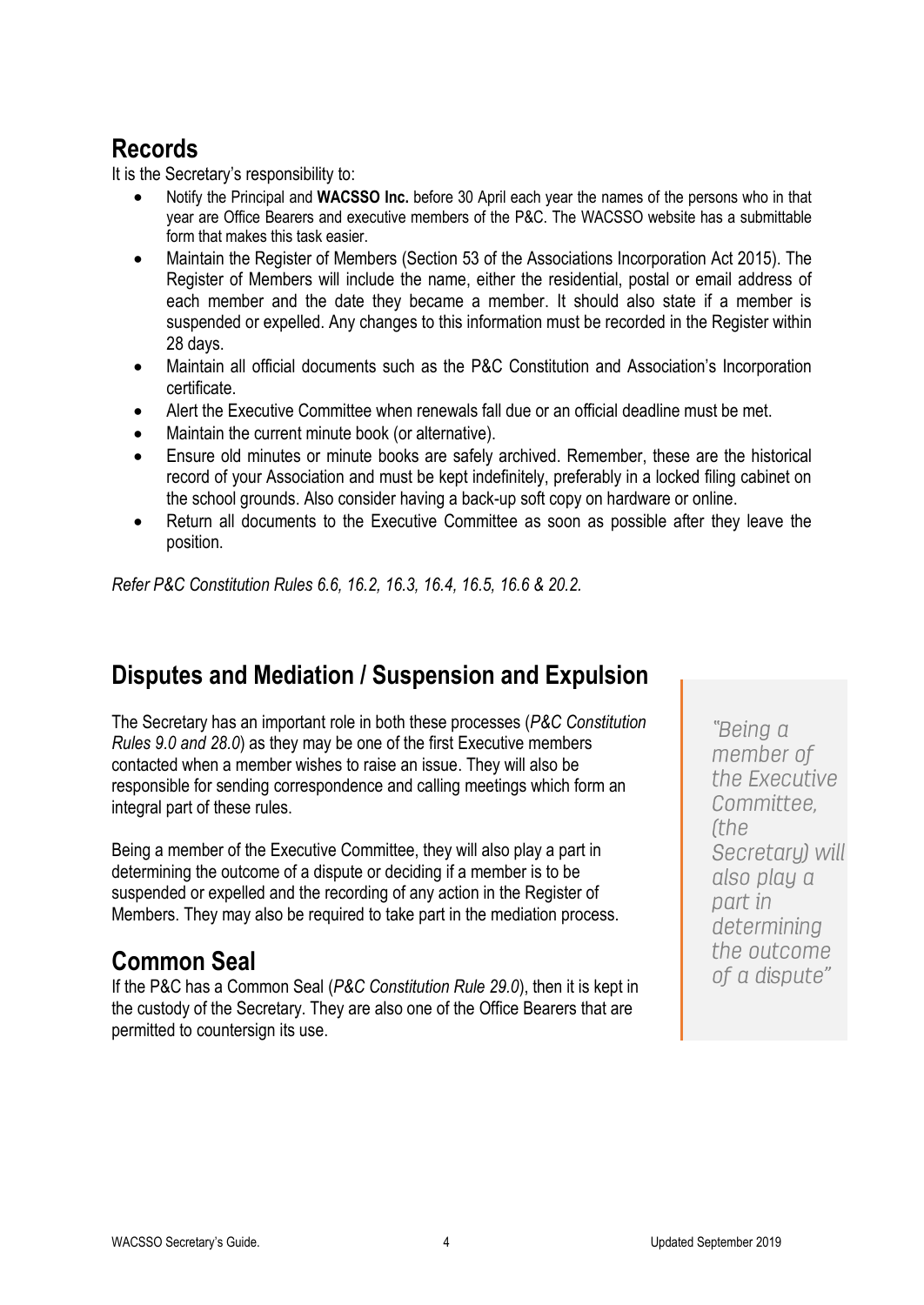## <span id="page-7-0"></span>**Records**

It is the Secretary's responsibility to:

- Notify the Principal and **WACSSO Inc.** before 30 April each year the names of the persons who in that year are Office Bearers and executive members of the P&C. The WACSSO website has a submittable form that makes this task easier.
- Maintain the Register of Members (Section 53 of the Associations Incorporation Act 2015). The Register of Members will include the name, either the residential, postal or email address of each member and the date they became a member. It should also state if a member is suspended or expelled. Any changes to this information must be recorded in the Register within 28 days.
- Maintain all official documents such as the P&C Constitution and Association's Incorporation certificate.
- Alert the Executive Committee when renewals fall due or an official deadline must be met.
- Maintain the current minute book (or alternative).
- Ensure old minutes or minute books are safely archived. Remember, these are the historical record of your Association and must be kept indefinitely, preferably in a locked filing cabinet on the school grounds. Also consider having a back-up soft copy on hardware or online.
- Return all documents to the Executive Committee as soon as possible after they leave the position.

*Refer P&C Constitution Rules 6.6, 16.2, 16.3, 16.4, 16.5, 16.6 & 20.2.*

# <span id="page-7-1"></span>**Disputes and Mediation / Suspension and Expulsion**

The Secretary has an important role in both these processes (*P&C Constitution Rules 9.0 and 28.0*) as they may be one of the first Executive members contacted when a member wishes to raise an issue. They will also be responsible for sending correspondence and calling meetings which form an integral part of these rules.

Being a member of the Executive Committee, they will also play a part in determining the outcome of a dispute or deciding if a member is to be suspended or expelled and the recording of any action in the Register of Members. They may also be required to take part in the mediation process.

# <span id="page-7-2"></span>**Common Seal**

If the P&C has a Common Seal (*P&C Constitution Rule 29.0*), then it is kept in the custody of the Secretary. They are also one of the Office Bearers that are permitted to countersign its use.

"Being a member of the Executive Committee. *(the* Secretary) will also play a part in determining the outcome of a dispute"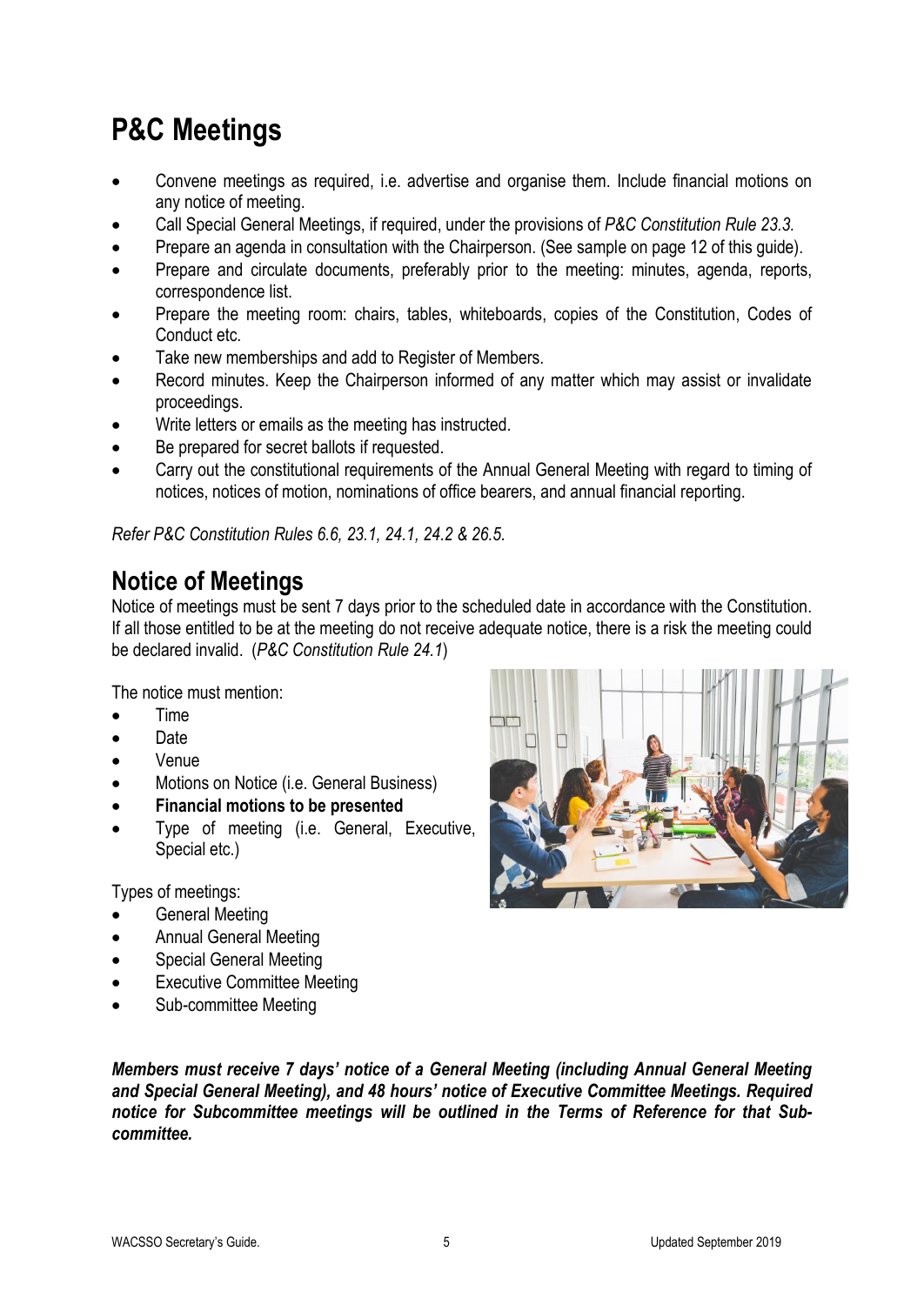# <span id="page-8-0"></span>**P&C Meetings**

- Convene meetings as required, i.e. advertise and organise them. Include financial motions on any notice of meeting.
- Call Special General Meetings, if required, under the provisions of *P&C Constitution Rule 23.3.*
- Prepare an agenda in consultation with the Chairperson. (See sample on page 12 of this guide).
- Prepare and circulate documents, preferably prior to the meeting: minutes, agenda, reports, correspondence list.
- Prepare the meeting room: chairs, tables, whiteboards, copies of the Constitution, Codes of Conduct etc.
- Take new memberships and add to Register of Members.
- Record minutes. Keep the Chairperson informed of any matter which may assist or invalidate proceedings.
- Write letters or emails as the meeting has instructed.
- Be prepared for secret ballots if requested.
- Carry out the constitutional requirements of the Annual General Meeting with regard to timing of notices, notices of motion, nominations of office bearers, and annual financial reporting.

*Refer P&C Constitution Rules 6.6, 23.1, 24.1, 24.2 & 26.5.*

### <span id="page-8-1"></span>**Notice of Meetings**

Notice of meetings must be sent 7 days prior to the scheduled date in accordance with the Constitution. If all those entitled to be at the meeting do not receive adequate notice, there is a risk the meeting could be declared invalid. (*P&C Constitution Rule 24.1*)

The notice must mention:

- Time
- Date
- Venue
- Motions on Notice (i.e. General Business)
- **Financial motions to be presented**
- Type of meeting (i.e. General, Executive, Special etc.)

Types of meetings:

- General Meeting
- Annual General Meeting
- Special General Meeting
- **Executive Committee Meeting**
- Sub-committee Meeting



*Members must receive 7 days' notice of a General Meeting (including Annual General Meeting and Special General Meeting), and 48 hours' notice of Executive Committee Meetings. Required notice for Subcommittee meetings will be outlined in the Terms of Reference for that Subcommittee.*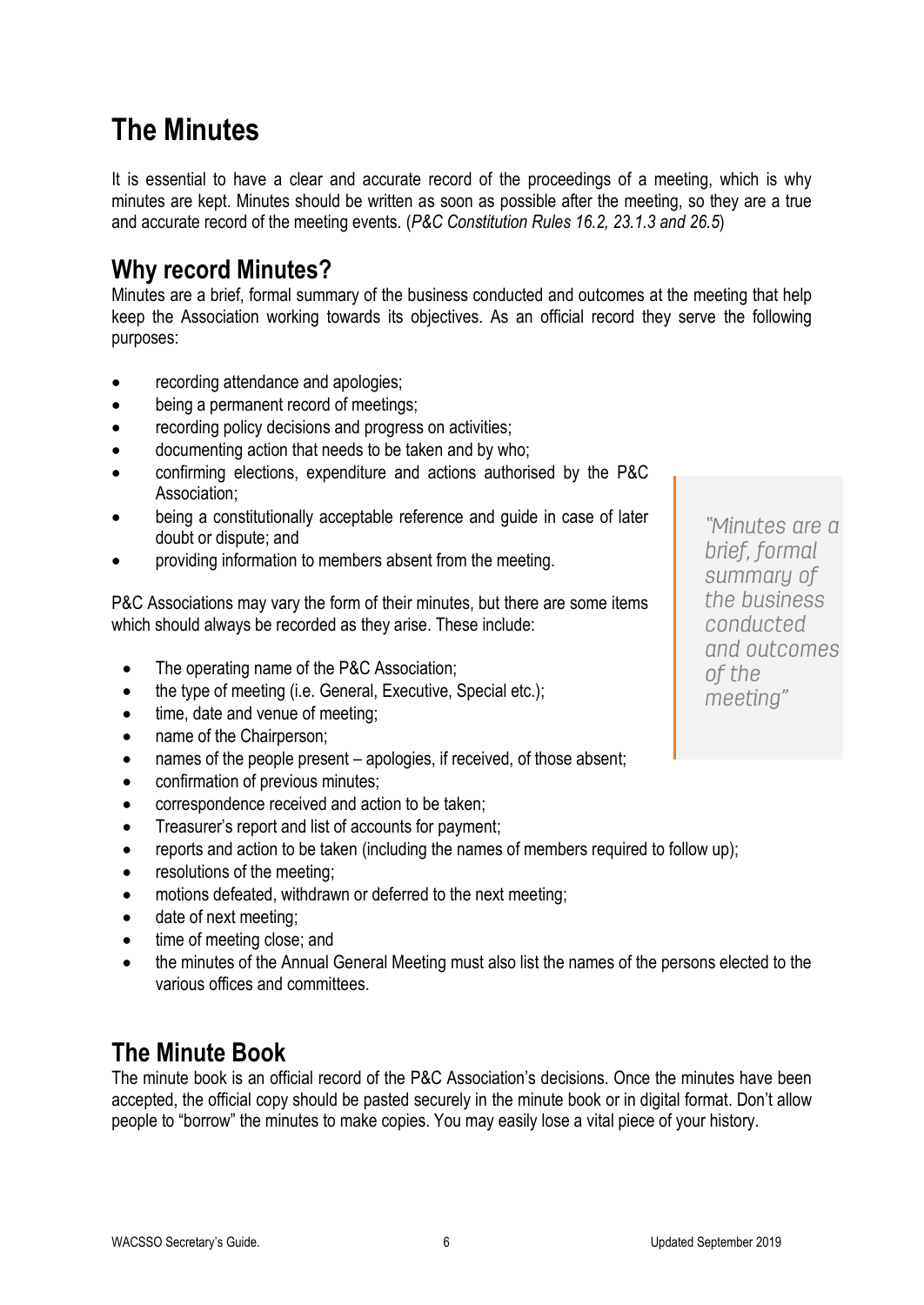# <span id="page-9-0"></span>**The Minutes**

It is essential to have a clear and accurate record of the proceedings of a meeting, which is why minutes are kept. Minutes should be written as soon as possible after the meeting, so they are a true and accurate record of the meeting events. (*P&C Constitution Rules 16.2, 23.1.3 and 26.5*)

### <span id="page-9-1"></span>**Why record Minutes?**

Minutes are a brief, formal summary of the business conducted and outcomes at the meeting that help keep the Association working towards its objectives. As an official record they serve the following purposes:

- recording attendance and apologies;
- being a permanent record of meetings;
- recording policy decisions and progress on activities;
- documenting action that needs to be taken and by who;
- confirming elections, expenditure and actions authorised by the P&C Association;
- being a constitutionally acceptable reference and guide in case of later doubt or dispute; and
- providing information to members absent from the meeting.

P&C Associations may vary the form of their minutes, but there are some items which should always be recorded as they arise. These include:

- The operating name of the P&C Association;
- the type of meeting (i.e. General, Executive, Special etc.);
- time, date and venue of meeting;
- name of the Chairperson;
- names of the people present apologies, if received, of those absent;
- confirmation of previous minutes;
- correspondence received and action to be taken;
- Treasurer's report and list of accounts for payment;
- reports and action to be taken (including the names of members required to follow up);
- resolutions of the meeting;
- motions defeated, withdrawn or deferred to the next meeting;
- date of next meeting;
- time of meeting close; and
- the minutes of the Annual General Meeting must also list the names of the persons elected to the various offices and committees.

### <span id="page-9-2"></span>**The Minute Book**

The minute book is an official record of the P&C Association's decisions. Once the minutes have been accepted, the official copy should be pasted securely in the minute book or in digital format. Don't allow people to "borrow" the minutes to make copies. You may easily lose a vital piece of your history.

"Minutes are a brief, formal summary of the business conducted and outcomes of the meeting"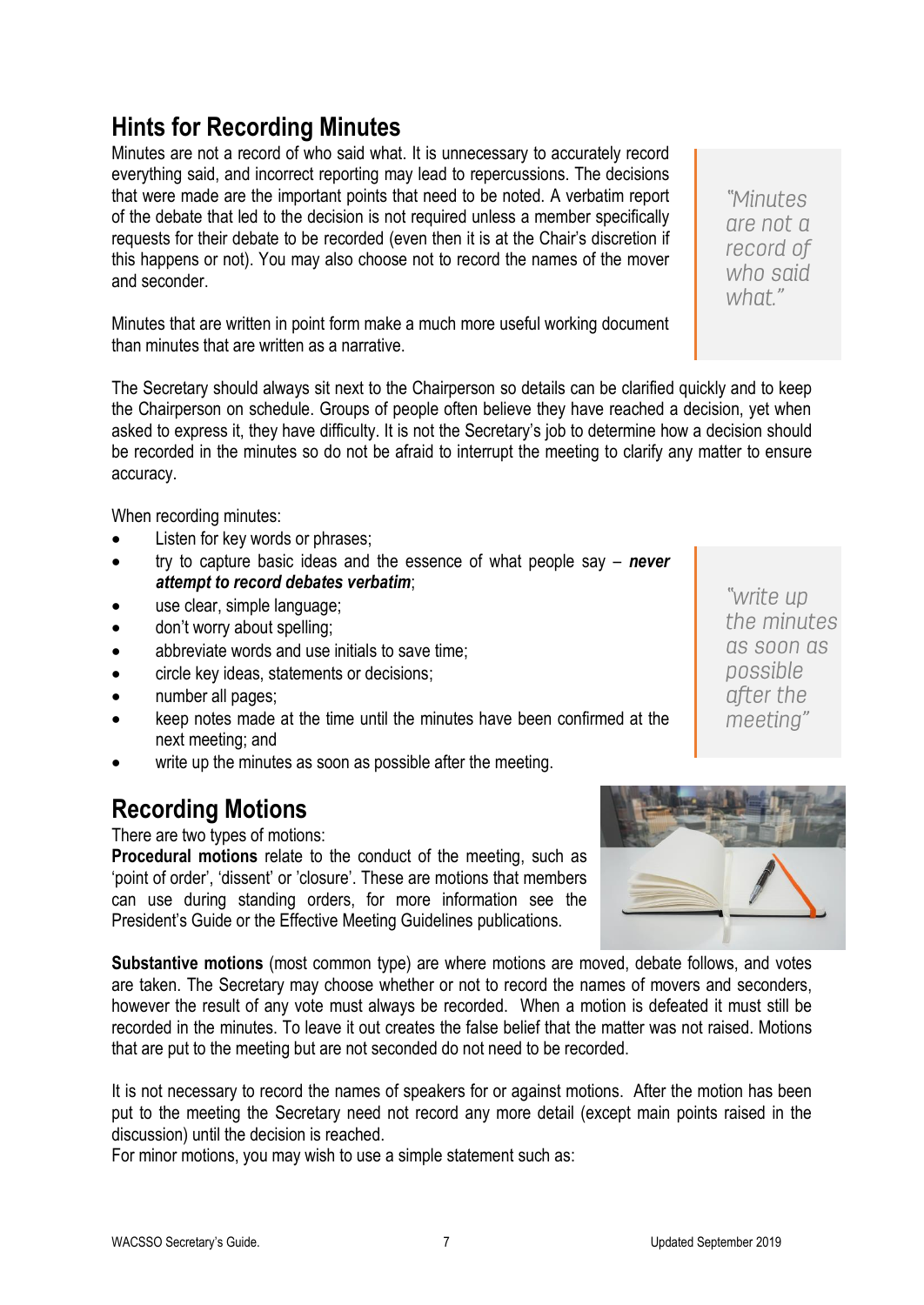# <span id="page-10-0"></span>**Hints for Recording Minutes**

Minutes are not a record of who said what. It is unnecessary to accurately record everything said, and incorrect reporting may lead to repercussions. The decisions that were made are the important points that need to be noted. A verbatim report of the debate that led to the decision is not required unless a member specifically requests for their debate to be recorded (even then it is at the Chair's discretion if this happens or not). You may also choose not to record the names of the mover and seconder.

Minutes that are written in point form make a much more useful working document than minutes that are written as a narrative.

The Secretary should always sit next to the Chairperson so details can be clarified quickly and to keep the Chairperson on schedule. Groups of people often believe they have reached a decision, yet when asked to express it, they have difficulty. It is not the Secretary's job to determine how a decision should be recorded in the minutes so do not be afraid to interrupt the meeting to clarify any matter to ensure accuracy.

When recording minutes:

- Listen for key words or phrases;
- try to capture basic ideas and the essence of what people say *never attempt to record debates verbatim*;
- use clear, simple language;
- don't worry about spelling;
- abbreviate words and use initials to save time;
- circle key ideas, statements or decisions;
- number all pages;
- keep notes made at the time until the minutes have been confirmed at the next meeting; and
- write up the minutes as soon as possible after the meeting.

### <span id="page-10-1"></span>**Recording Motions**

There are two types of motions:

**Procedural motions** relate to the conduct of the meeting, such as 'point of order', 'dissent' or 'closure'. These are motions that members can use during standing orders, for more information see the President's Guide or the Effective Meeting Guidelines publications.

**Substantive motions** (most common type) are where motions are moved, debate follows, and votes are taken. The Secretary may choose whether or not to record the names of movers and seconders, however the result of any vote must always be recorded. When a motion is defeated it must still be recorded in the minutes. To leave it out creates the false belief that the matter was not raised. Motions that are put to the meeting but are not seconded do not need to be recorded.

It is not necessary to record the names of speakers for or against motions. After the motion has been put to the meeting the Secretary need not record any more detail (except main points raised in the discussion) until the decision is reached.

For minor motions, you may wish to use a simple statement such as:



who said what"

"write up the minutes as soon as possible after the meeting"

"Minutes are not a record of

WACSSO Secretary's Guide. The Contract of the Contract of Technology and Technology and Technology and Technology and Technology and Technology and Technology and Technology and Technology and Technology and Technology and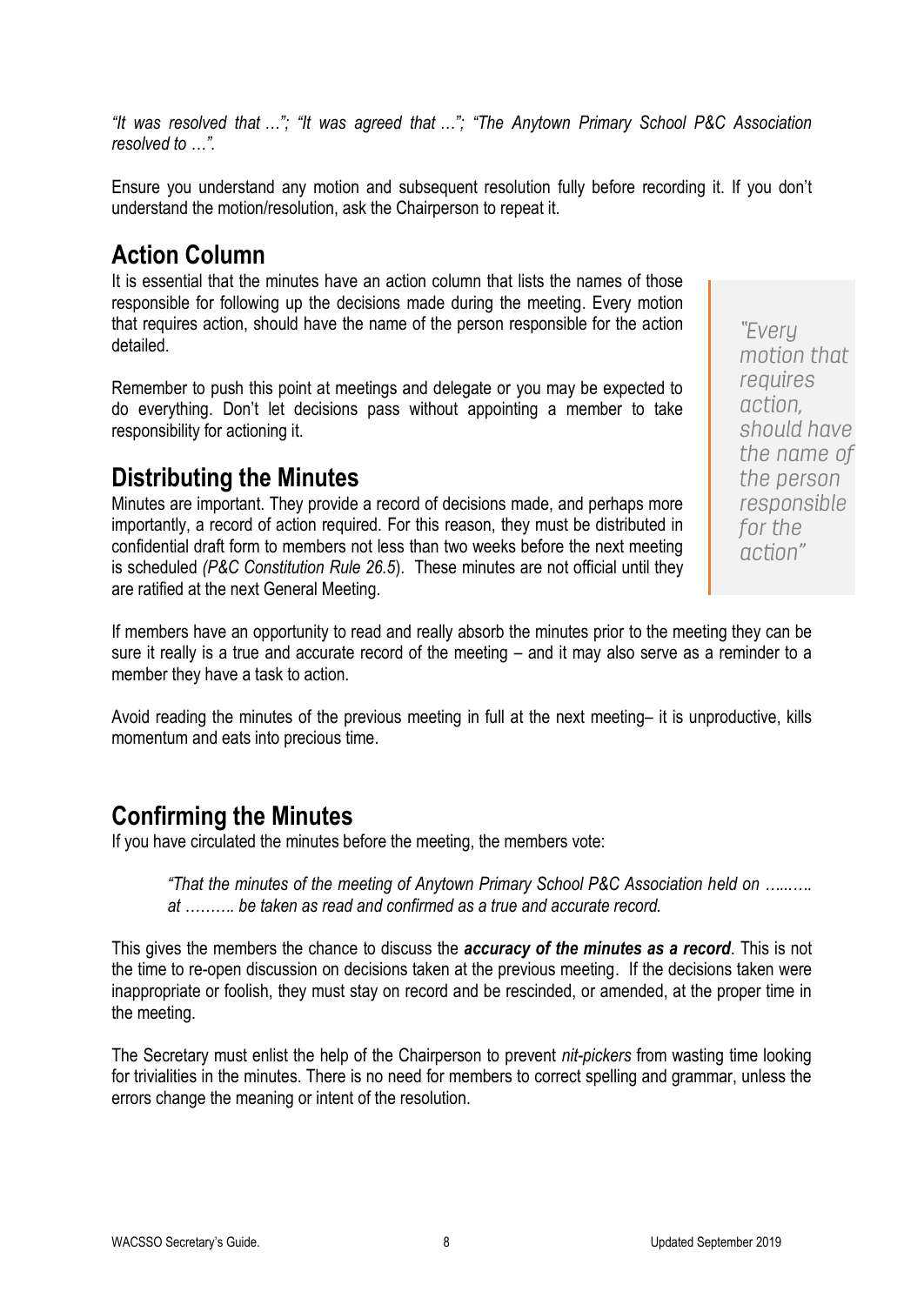*"It was resolved that …"; "It was agreed that …"; "The Anytown Primary School P&C Association resolved to …".*

Ensure you understand any motion and subsequent resolution fully before recording it. If you don't understand the motion/resolution, ask the Chairperson to repeat it.

### <span id="page-11-0"></span>**Action Column**

It is essential that the minutes have an action column that lists the names of those responsible for following up the decisions made during the meeting. Every motion that requires action, should have the name of the person responsible for the action detailed.

Remember to push this point at meetings and delegate or you may be expected to do everything. Don't let decisions pass without appointing a member to take responsibility for actioning it.

### <span id="page-11-1"></span>**Distributing the Minutes**

Minutes are important. They provide a record of decisions made, and perhaps more importantly, a record of action required. For this reason, they must be distributed in confidential draft form to members not less than two weeks before the next meeting is scheduled *(P&C Constitution Rule 26.5*). These minutes are not official until they are ratified at the next General Meeting.

If members have an opportunity to read and really absorb the minutes prior to the meeting they can be sure it really is a true and accurate record of the meeting – and it may also serve as a reminder to a member they have a task to action.

Avoid reading the minutes of the previous meeting in full at the next meeting– it is unproductive, kills momentum and eats into precious time.

### <span id="page-11-2"></span>**Confirming the Minutes**

If you have circulated the minutes before the meeting, the members vote:

*"That the minutes of the meeting of Anytown Primary School P&C Association held on …...…. at ………. be taken as read and confirmed as a true and accurate record.*

This gives the members the chance to discuss the *accuracy of the minutes as a record*. This is not the time to re-open discussion on decisions taken at the previous meeting. If the decisions taken were inappropriate or foolish, they must stay on record and be rescinded, or amended, at the proper time in the meeting.

The Secretary must enlist the help of the Chairperson to prevent *nit-pickers* from wasting time looking for trivialities in the minutes. There is no need for members to correct spelling and grammar, unless the errors change the meaning or intent of the resolution.

"Every motion that requires action. should have the name of the person responsible for the action"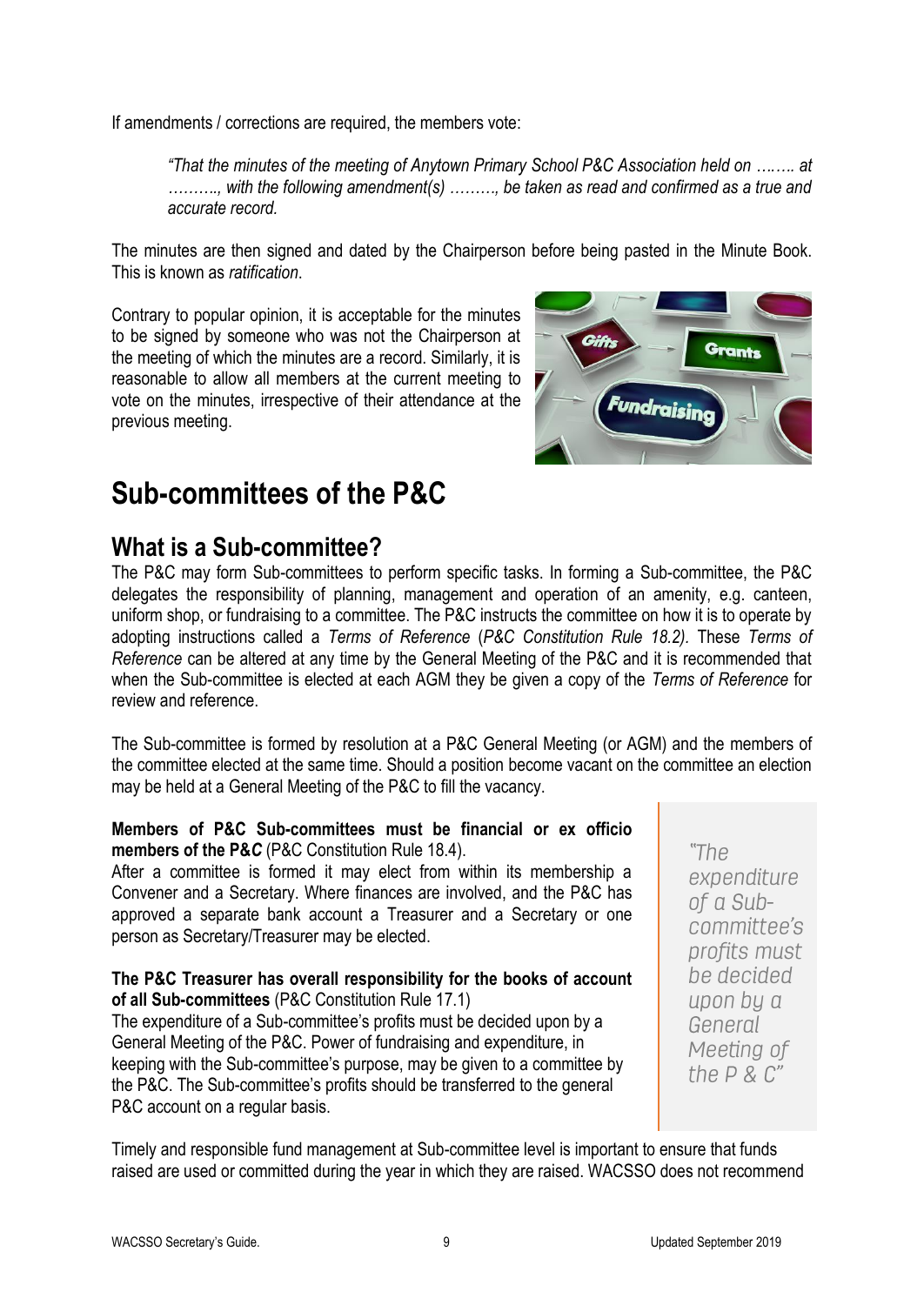If amendments / corrections are required, the members vote:

*"That the minutes of the meeting of Anytown Primary School P&C Association held on ….…. at ………., with the following amendment(s) ………, be taken as read and confirmed as a true and accurate record.*

The minutes are then signed and dated by the Chairperson before being pasted in the Minute Book. This is known as *ratification*.

Contrary to popular opinion, it is acceptable for the minutes to be signed by someone who was not the Chairperson at the meeting of which the minutes are a record. Similarly, it is reasonable to allow all members at the current meeting to vote on the minutes, irrespective of their attendance at the previous meeting.



# <span id="page-12-0"></span>**Sub-committees of the P&C**

### <span id="page-12-1"></span>**What is a Sub-committee?**

The P&C may form Sub-committees to perform specific tasks. In forming a Sub-committee, the P&C delegates the responsibility of planning, management and operation of an amenity, e.g. canteen, uniform shop, or fundraising to a committee. The P&C instructs the committee on how it is to operate by adopting instructions called a *Terms of Reference* (*P&C Constitution Rule 18.2).* These *Terms of Reference* can be altered at any time by the General Meeting of the P&C and it is recommended that when the Sub-committee is elected at each AGM they be given a copy of the *Terms of Reference* for review and reference.

The Sub-committee is formed by resolution at a P&C General Meeting (or AGM) and the members of the committee elected at the same time. Should a position become vacant on the committee an election may be held at a General Meeting of the P&C to fill the vacancy.

### **Members of P&C Sub-committees must be financial or ex officio members of the P&***C* (P&C Constitution Rule 18.4).

After a committee is formed it may elect from within its membership a Convener and a Secretary. Where finances are involved, and the P&C has approved a separate bank account a Treasurer and a Secretary or one person as Secretary/Treasurer may be elected.

#### **The P&C Treasurer has overall responsibility for the books of account of all Sub-committees** (P&C Constitution Rule 17.1)

The expenditure of a Sub-committee's profits must be decided upon by a General Meeting of the P&C. Power of fundraising and expenditure, in keeping with the Sub-committee's purpose, may be given to a committee by the P&C. The Sub-committee's profits should be transferred to the general P&C account on a regular basis.

"The expenditure of a Subcommittee's profits must be decided upon by a General Meeting of the  $P \& C'$ 

Timely and responsible fund management at Sub-committee level is important to ensure that funds raised are used or committed during the year in which they are raised. WACSSO does not recommend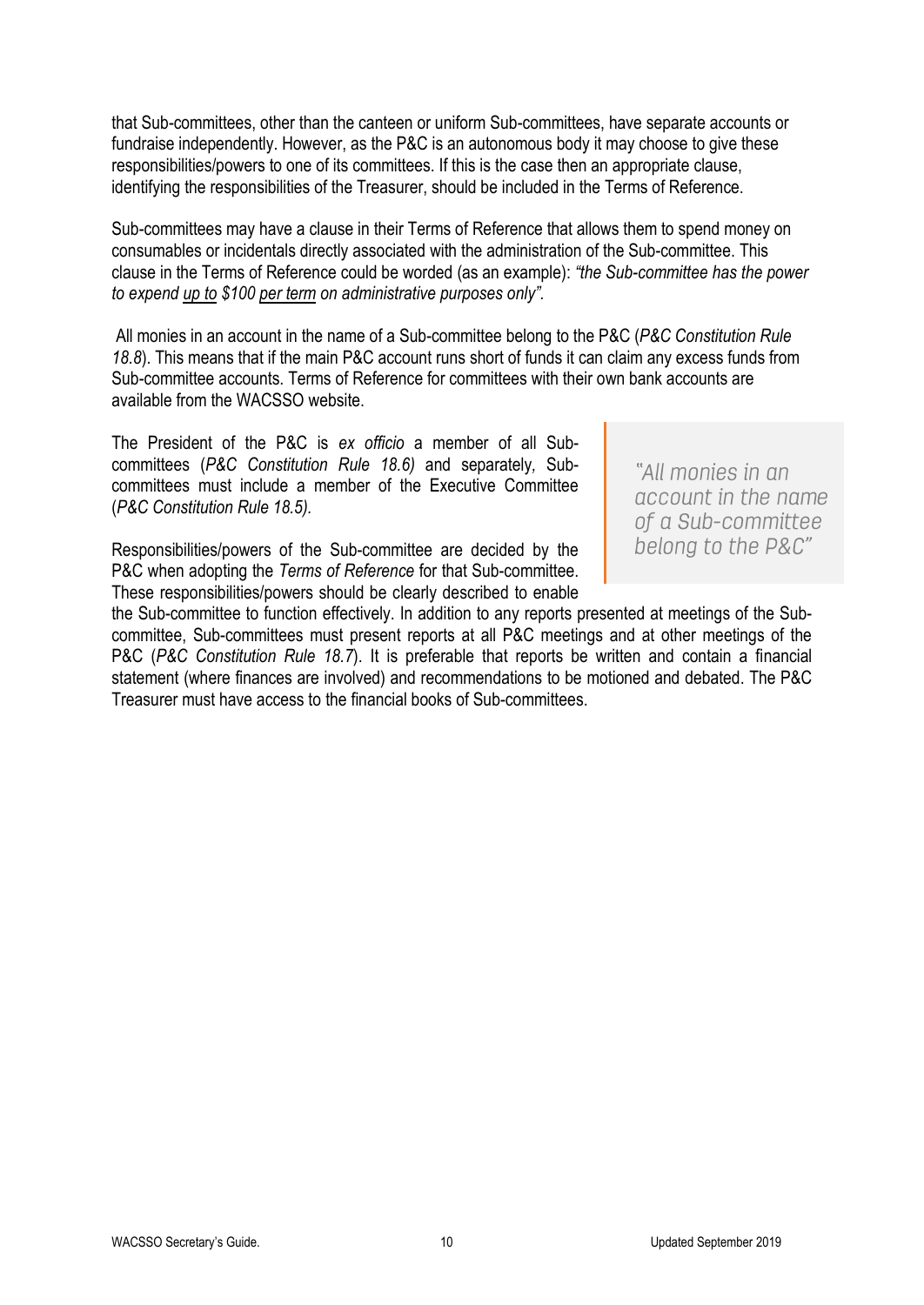that Sub-committees, other than the canteen or uniform Sub-committees, have separate accounts or fundraise independently. However, as the P&C is an autonomous body it may choose to give these responsibilities/powers to one of its committees. If this is the case then an appropriate clause, identifying the responsibilities of the Treasurer, should be included in the Terms of Reference.

Sub-committees may have a clause in their Terms of Reference that allows them to spend money on consumables or incidentals directly associated with the administration of the Sub-committee. This clause in the Terms of Reference could be worded (as an example): *"the Sub-committee has the power to expend up to \$100 per term on administrative purposes only".*

All monies in an account in the name of a Sub-committee belong to the P&C (*P&C Constitution Rule 18.8*). This means that if the main P&C account runs short of funds it can claim any excess funds from Sub-committee accounts. Terms of Reference for committees with their own bank accounts are available from the WACSSO website.

The President of the P&C is *ex officio* a member of all Subcommittees (*P&C Constitution Rule 18.6)* and separately*,* Subcommittees must include a member of the Executive Committee (*P&C Constitution Rule 18.5).*

Responsibilities/powers of the Sub-committee are decided by the P&C when adopting the *Terms of Reference* for that Sub-committee. These responsibilities/powers should be clearly described to enable

"All monies in an account in the name of a Sub-committee belong to the P&C"

the Sub-committee to function effectively. In addition to any reports presented at meetings of the Subcommittee, Sub-committees must present reports at all P&C meetings and at other meetings of the P&C (*P&C Constitution Rule 18.7*). It is preferable that reports be written and contain a financial statement (where finances are involved) and recommendations to be motioned and debated. The P&C Treasurer must have access to the financial books of Sub-committees.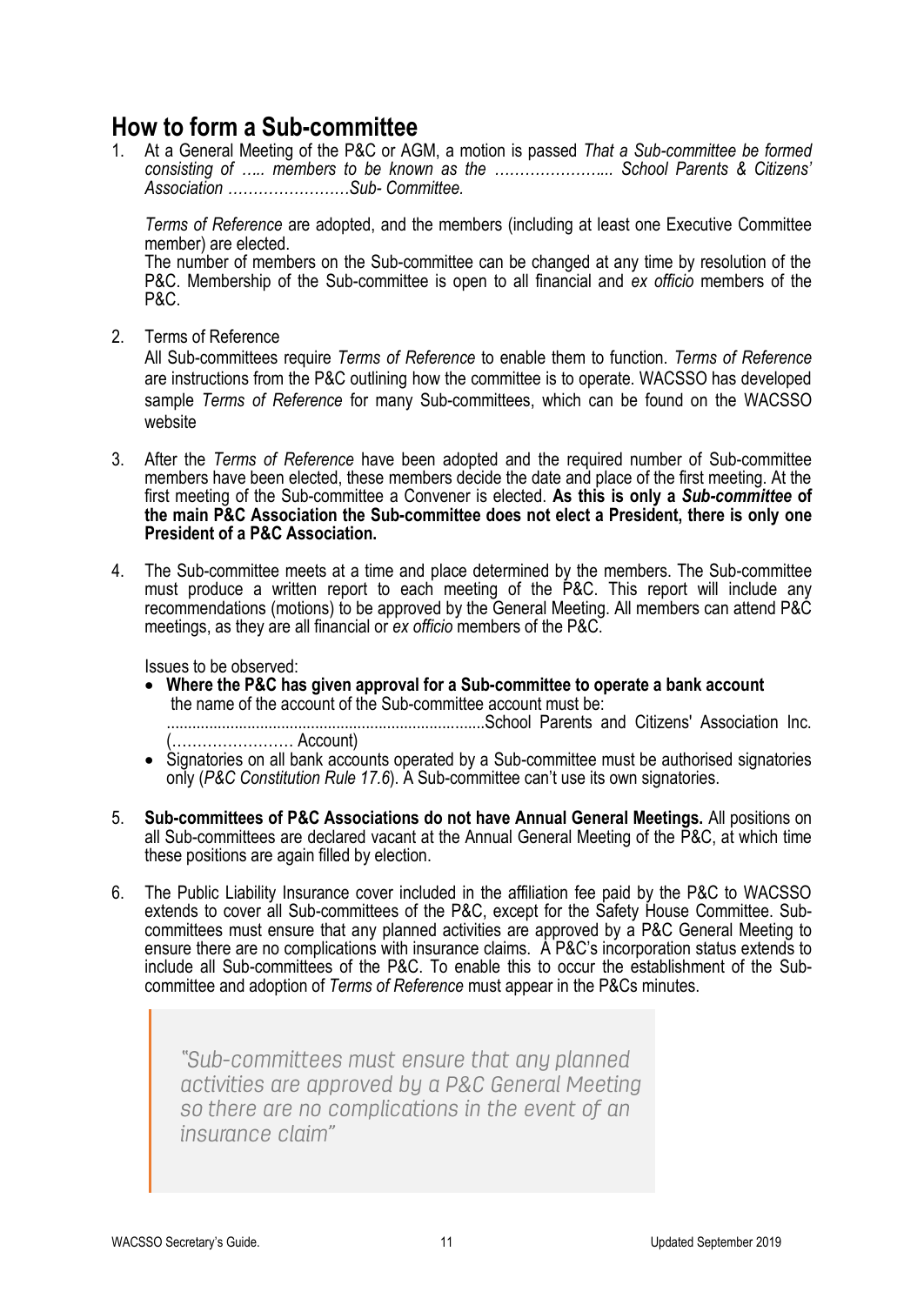### <span id="page-14-0"></span>**How to form a Sub-committee**

1. At a General Meeting of the P&C or AGM, a motion is passed *That a Sub-committee be formed consisting of ….. members to be known as the …………………... School Parents & Citizens' Association ……………………Sub- Committee.*

*Terms of Reference* are adopted, and the members (including at least one Executive Committee member) are elected.

The number of members on the Sub-committee can be changed at any time by resolution of the P&C. Membership of the Sub-committee is open to all financial and *ex officio* members of the P&C.

2. Terms of Reference

All Sub-committees require *Terms of Reference* to enable them to function. *Terms of Reference* are instructions from the P&C outlining how the committee is to operate. WACSSO has developed sample *Terms of Reference* for many Sub-committees, which can be found on the WACSSO website

- 3. After the *Terms of Reference* have been adopted and the required number of Sub-committee members have been elected, these members decide the date and place of the first meeting. At the first meeting of the Sub-committee a Convener is elected. **As this is only a** *Sub-committee* **of the main P&C Association the Sub-committee does not elect a President, there is only one President of a P&C Association.**
- 4. The Sub-committee meets at a time and place determined by the members. The Sub-committee must produce a written report to each meeting of the P&C. This report will include any recommendations (motions) to be approved by the General Meeting. All members can attend P&C meetings, as they are all financial or *ex officio* members of the P&C.

Issues to be observed:

• **Where the P&C has given approval for a Sub-committee to operate a bank account** the name of the account of the Sub-committee account must be:

...........................................................................School Parents and Citizens' Association Inc. (…………………… Account)

- Signatories on all bank accounts operated by a Sub-committee must be authorised signatories only (*P&C Constitution Rule 17.6*). A Sub-committee can't use its own signatories.
- 5. **Sub-committees of P&C Associations do not have Annual General Meetings.** All positions on all Sub-committees are declared vacant at the Annual General Meeting of the P&C, at which time these positions are again filled by election.
- 6. The Public Liability Insurance cover included in the affiliation fee paid by the P&C to WACSSO extends to cover all Sub-committees of the P&C, except for the Safety House Committee. Subcommittees must ensure that any planned activities are approved by a P&C General Meeting to ensure there are no complications with insurance claims. A P&C's incorporation status extends to include all Sub-committees of the P&C. To enable this to occur the establishment of the Subcommittee and adoption of *Terms of Reference* must appear in the P&Cs minutes.

"Sub-committees must ensure that any planned activities are approved by a P&C General Meeting so there are no complications in the event of an insurance claim"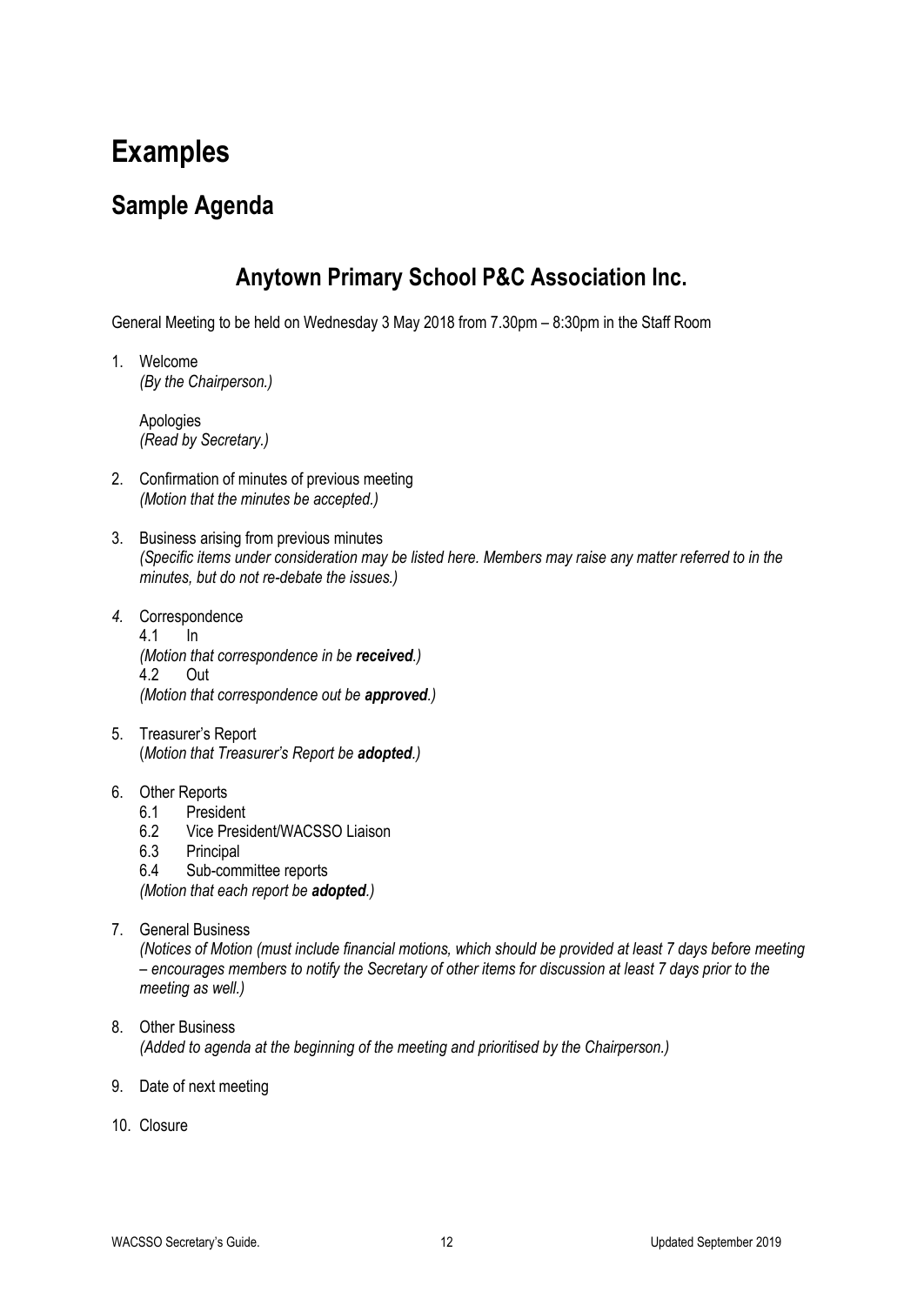# <span id="page-15-0"></span>**Examples**

### <span id="page-15-1"></span>**Sample Agenda**

### **Anytown Primary School P&C Association Inc.**

General Meeting to be held on Wednesday 3 May 2018 from 7.30pm – 8:30pm in the Staff Room

1. Welcome *(By the Chairperson.)*

> Apologies *(Read by Secretary.)*

- 2. Confirmation of minutes of previous meeting *(Motion that the minutes be accepted.)*
- 3. Business arising from previous minutes *(Specific items under consideration may be listed here. Members may raise any matter referred to in the minutes, but do not re-debate the issues.)*
- *4.* Correspondence 4.1 In *(Motion that correspondence in be received.)* 4.2 Out *(Motion that correspondence out be approved.)*
- 5. Treasurer's Report (*Motion that Treasurer's Report be adopted.)*
- 6. Other Reports
	- 6.1 President
	- 6.2 Vice President/WACSSO Liaison
	- 6.3 Principal
	- 6.4 Sub-committee reports

*(Motion that each report be adopted.)*

7. General Business

*(Notices of Motion (must include financial motions, which should be provided at least 7 days before meeting – encourages members to notify the Secretary of other items for discussion at least 7 days prior to the meeting as well.)*

- 8. Other Business *(Added to agenda at the beginning of the meeting and prioritised by the Chairperson.)*
- 9. Date of next meeting
- 10. Closure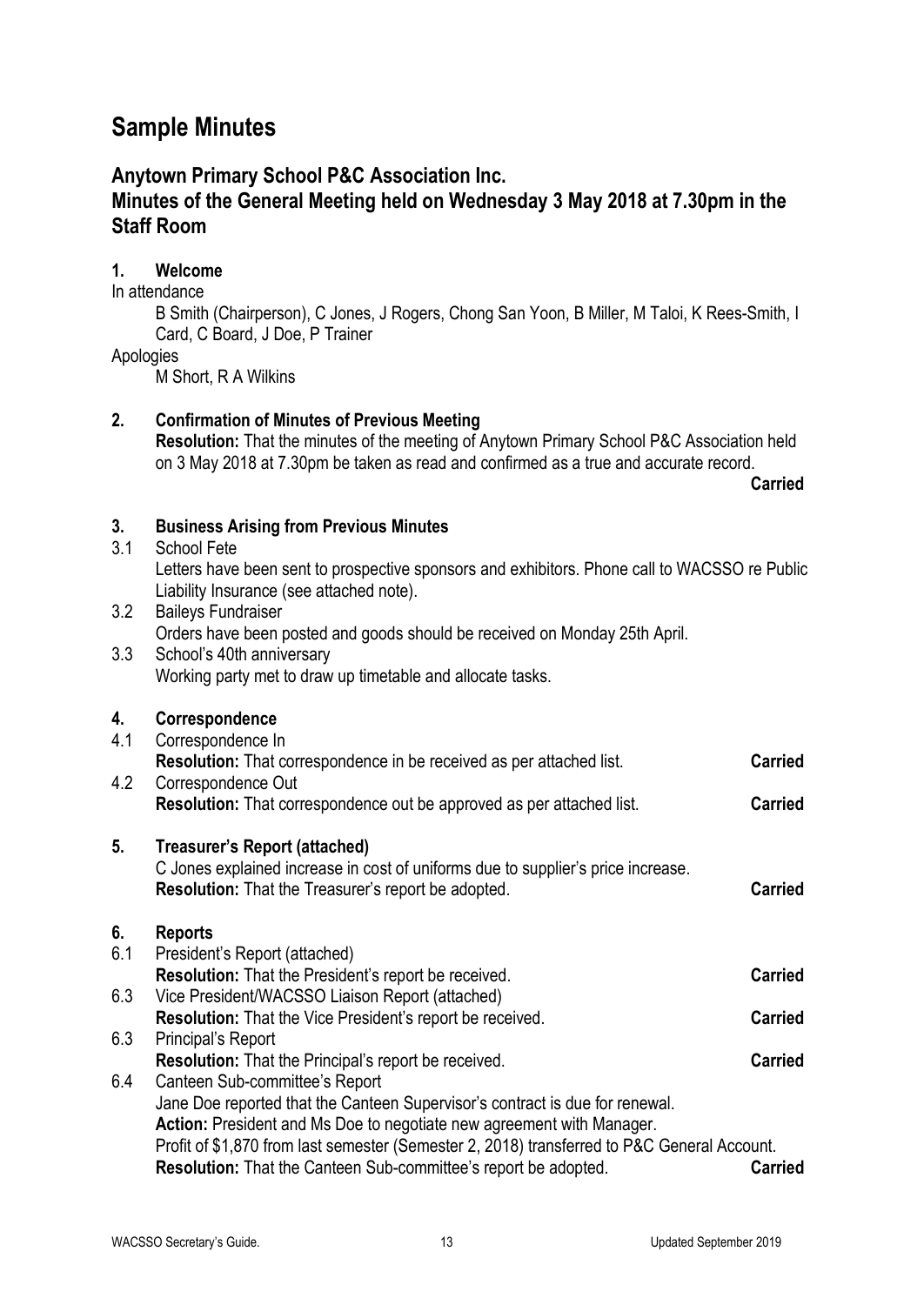### <span id="page-16-0"></span>**Sample Minutes**

### **Anytown Primary School P&C Association Inc.**

### **Minutes of the General Meeting held on Wednesday 3 May 2018 at 7.30pm in the Staff Room**

### **1. Welcome**

#### In attendance

B Smith (Chairperson), C Jones, J Rogers, Chong San Yoon, B Miller, M Taloi, K Rees-Smith, I Card, C Board, J Doe, P Trainer

Apologies

M Short, R A Wilkins

### **2. Confirmation of Minutes of Previous Meeting**

**Resolution:** That the minutes of the meeting of Anytown Primary School P&C Association held on 3 May 2018 at 7.30pm be taken as read and confirmed as a true and accurate record.

**Carried**

### **3. Business Arising from Previous Minutes**

#### 3.1 School Fete

Letters have been sent to prospective sponsors and exhibitors. Phone call to WACSSO re Public Liability Insurance (see attached note).

3.2 Baileys Fundraiser

Orders have been posted and goods should be received on Monday 25th April.

3.3 School's 40th anniversary Working party met to draw up timetable and allocate tasks.

### **4. Correspondence**

| 4.1 | Correspondence In                                                                           |                |
|-----|---------------------------------------------------------------------------------------------|----------------|
|     | <b>Resolution:</b> That correspondence in be received as per attached list.                 | <b>Carried</b> |
| 4.2 | Correspondence Out                                                                          |                |
|     | <b>Resolution:</b> That correspondence out be approved as per attached list.                | <b>Carried</b> |
| 5.  | Treasurer's Report (attached)                                                               |                |
|     | C Jones explained increase in cost of uniforms due to supplier's price increase.            |                |
|     | <b>Resolution:</b> That the Treasurer's report be adopted.                                  | <b>Carried</b> |
| 6.  | <b>Reports</b>                                                                              |                |
| 6.1 | President's Report (attached)                                                               |                |
|     | Resolution: That the President's report be received.                                        | <b>Carried</b> |
| 6.3 | Vice President/WACSSO Liaison Report (attached)                                             |                |
|     | <b>Resolution:</b> That the Vice President's report be received.                            | <b>Carried</b> |
| 6.3 | Principal's Report                                                                          |                |
|     | <b>Resolution:</b> That the Principal's report be received.                                 | <b>Carried</b> |
| 6.4 | Canteen Sub-committee's Report                                                              |                |
|     | Jane Doe reported that the Canteen Supervisor's contract is due for renewal.                |                |
|     | Action: President and Ms Doe to negotiate new agreement with Manager.                       |                |
|     | Profit of \$1,870 from last semester (Semester 2, 2018) transferred to P&C General Account. |                |
|     | <b>Resolution:</b> That the Canteen Sub-committee's report be adopted.                      | <b>Carried</b> |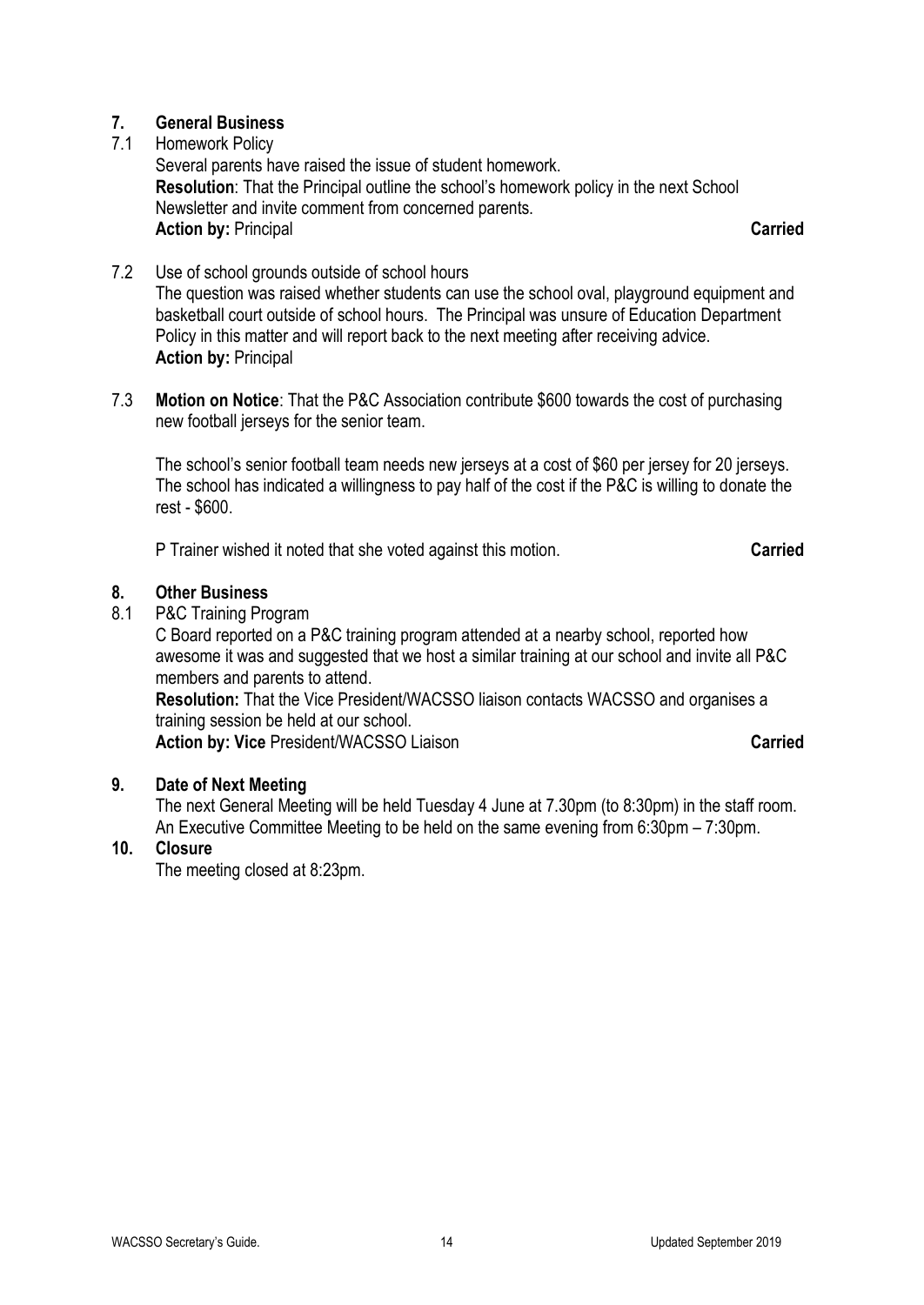### **7. General Business**

### 7.1 Homework Policy

Several parents have raised the issue of student homework. **Resolution**: That the Principal outline the school's homework policy in the next School Newsletter and invite comment from concerned parents. **Action by:** Principal **Carried**

- 7.2 Use of school grounds outside of school hours The question was raised whether students can use the school oval, playground equipment and basketball court outside of school hours. The Principal was unsure of Education Department Policy in this matter and will report back to the next meeting after receiving advice. **Action by:** Principal
- 7.3 **Motion on Notice**: That the P&C Association contribute \$600 towards the cost of purchasing new football jerseys for the senior team.

The school's senior football team needs new jerseys at a cost of \$60 per jersey for 20 jerseys. The school has indicated a willingness to pay half of the cost if the P&C is willing to donate the rest - \$600.

P Trainer wished it noted that she voted against this motion. **Carried**

### **8. Other Business**

8.1 P&C Training Program

C Board reported on a P&C training program attended at a nearby school, reported how awesome it was and suggested that we host a similar training at our school and invite all P&C members and parents to attend.

**Resolution:** That the Vice President/WACSSO liaison contacts WACSSO and organises a training session be held at our school.

**Action by: Vice** President/WACSSO Liaison **Carried** 

### **9. Date of Next Meeting**

The next General Meeting will be held Tuesday 4 June at 7.30pm (to 8:30pm) in the staff room. An Executive Committee Meeting to be held on the same evening from 6:30pm – 7:30pm.

### **10. Closure**

The meeting closed at 8:23pm.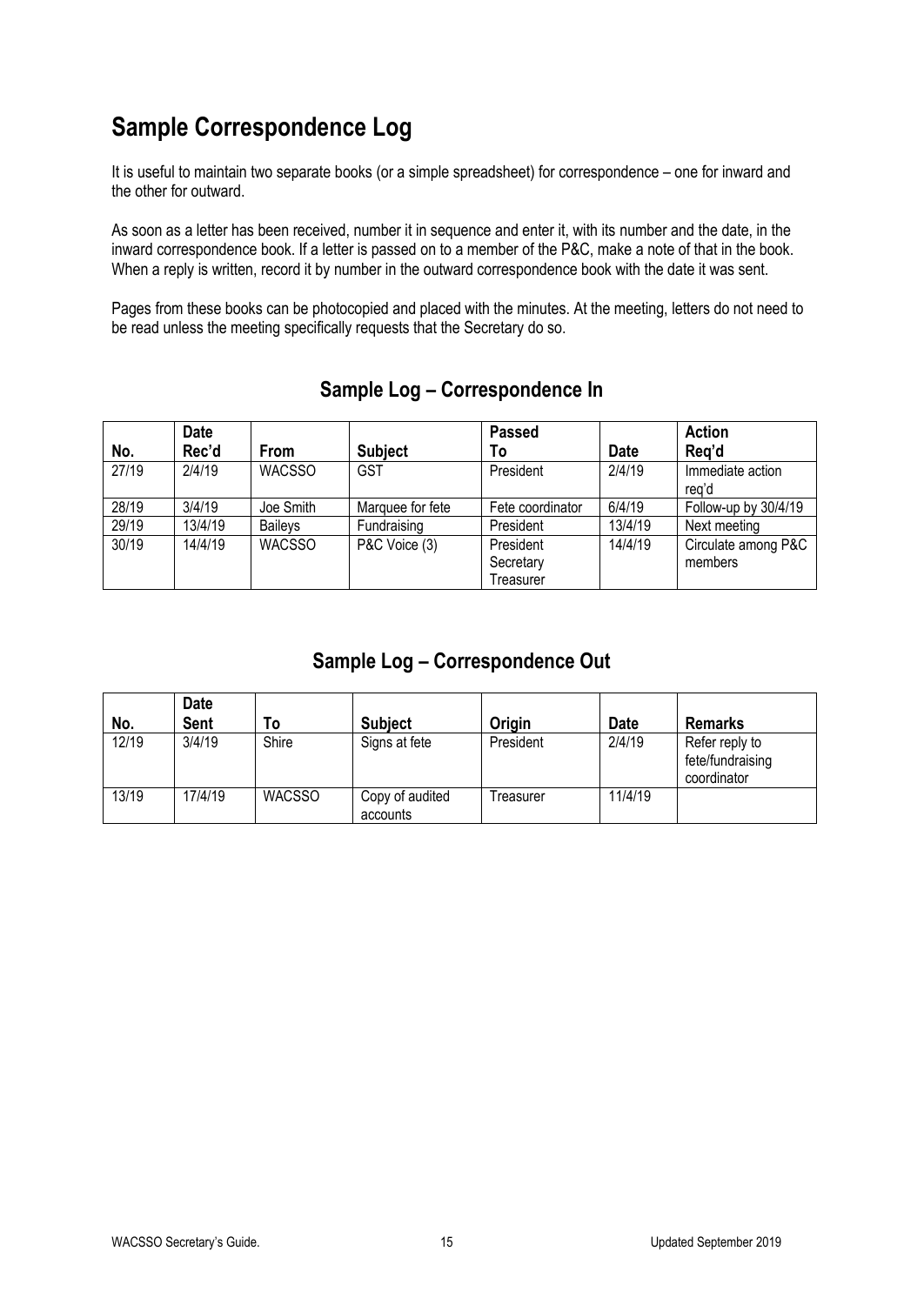# <span id="page-18-0"></span>**Sample Correspondence Log**

It is useful to maintain two separate books (or a simple spreadsheet) for correspondence – one for inward and the other for outward.

As soon as a letter has been received, number it in sequence and enter it, with its number and the date, in the inward correspondence book. If a letter is passed on to a member of the P&C, make a note of that in the book. When a reply is written, record it by number in the outward correspondence book with the date it was sent.

Pages from these books can be photocopied and placed with the minutes. At the meeting, letters do not need to be read unless the meeting specifically requests that the Secretary do so.

|       | <b>Date</b> |                |                  | <b>Passed</b>    |             | <b>Action</b>             |
|-------|-------------|----------------|------------------|------------------|-------------|---------------------------|
| No.   | Rec'd       | From           | <b>Subject</b>   | To               | <b>Date</b> | Reg'd                     |
| 27/19 | 2/4/19      | <b>WACSSO</b>  | <b>GST</b>       | President        | 2/4/19      | Immediate action<br>rea'd |
| 28/19 | 3/4/19      | Joe Smith      | Marquee for fete | Fete coordinator | 6/4/19      | Follow-up by 30/4/19      |
| 29/19 | 13/4/19     | <b>Baileys</b> | Fundraising      | President        | 13/4/19     | Next meeting              |
| 30/19 | 14/4/19     | <b>WACSSO</b>  | P&C Voice (3)    | President        | 14/4/19     | Circulate among P&C       |
|       |             |                |                  | Secretary        |             | members                   |
|       |             |                |                  | Treasurer        |             |                           |

### **Sample Log – Correspondence In**

### **Sample Log – Correspondence Out**

| No.   | <b>Date</b><br>Sent | To            | <b>Subject</b>              | <b>Origin</b> | <b>Date</b> | <b>Remarks</b>                                    |
|-------|---------------------|---------------|-----------------------------|---------------|-------------|---------------------------------------------------|
| 12/19 | 3/4/19              | Shire         | Signs at fete               | President     | 2/4/19      | Refer reply to<br>fete/fundraising<br>coordinator |
| 13/19 | 17/4/19             | <b>WACSSO</b> | Copy of audited<br>accounts | Treasurer     | 11/4/19     |                                                   |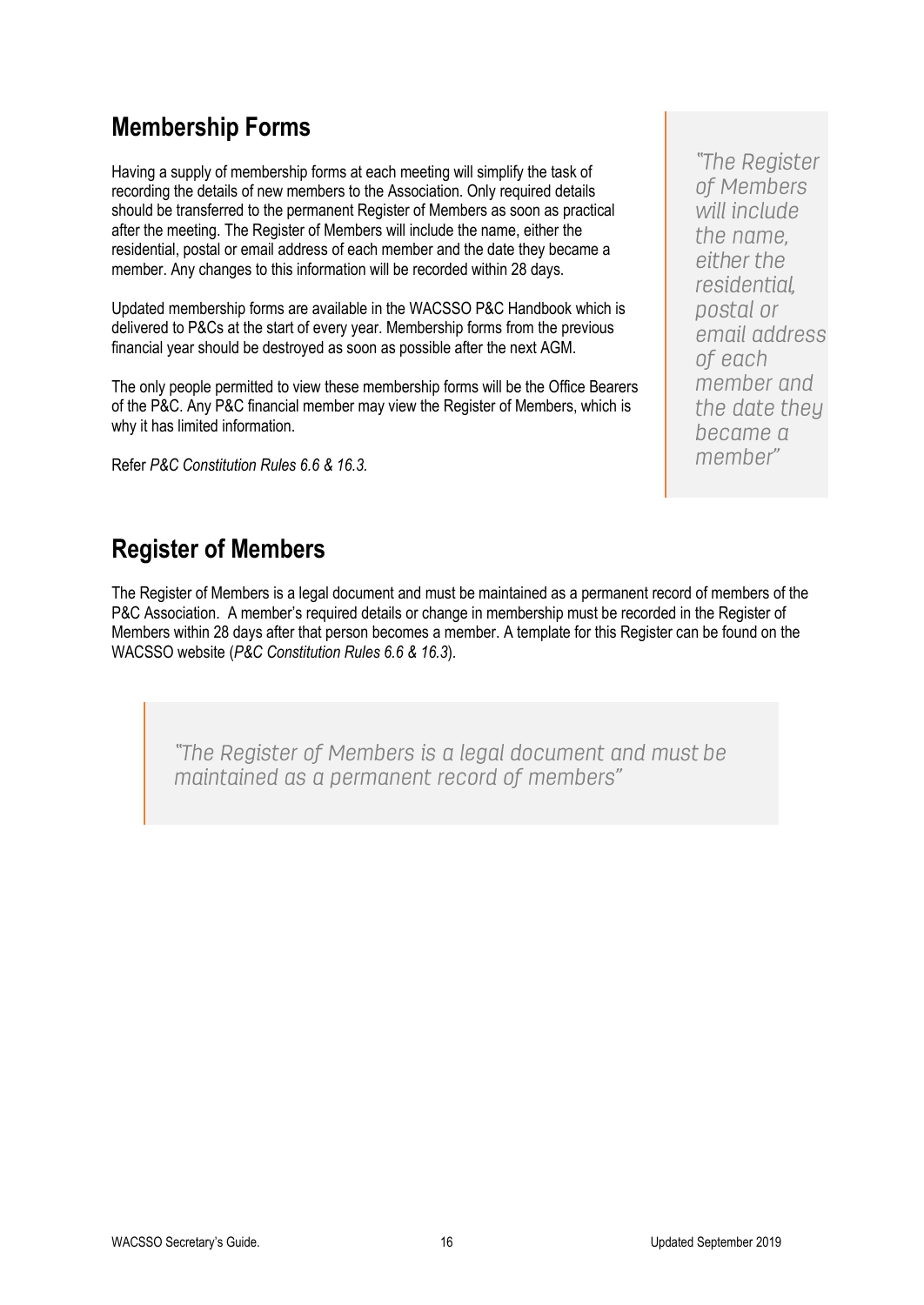### <span id="page-19-0"></span>**Membership Forms**

Having a supply of membership forms at each meeting will simplify the task of recording the details of new members to the Association. Only required details should be transferred to the permanent Register of Members as soon as practical after the meeting. The Register of Members will include the name, either the residential, postal or email address of each member and the date they became a member. Any changes to this information will be recorded within 28 days.

Updated membership forms are available in the WACSSO P&C Handbook which is delivered to P&Cs at the start of every year. Membership forms from the previous financial year should be destroyed as soon as possible after the next AGM.

The only people permitted to view these membership forms will be the Office Bearers of the P&C. Any P&C financial member may view the Register of Members, which is why it has limited information.

Refer *P&C Constitution Rules 6.6 & 16.3.*

"The Register of Members will include the name. either the residential. postal or email address of each member and the date they became a memher"

## <span id="page-19-1"></span>**Register of Members**

The Register of Members is a legal document and must be maintained as a permanent record of members of the P&C Association. A member's required details or change in membership must be recorded in the Register of Members within 28 days after that person becomes a member. A template for this Register can be found on the WACSSO website (*P&C Constitution Rules 6.6 & 16.3*).

"The Register of Members is a legal document and must be maintained as a permanent record of members"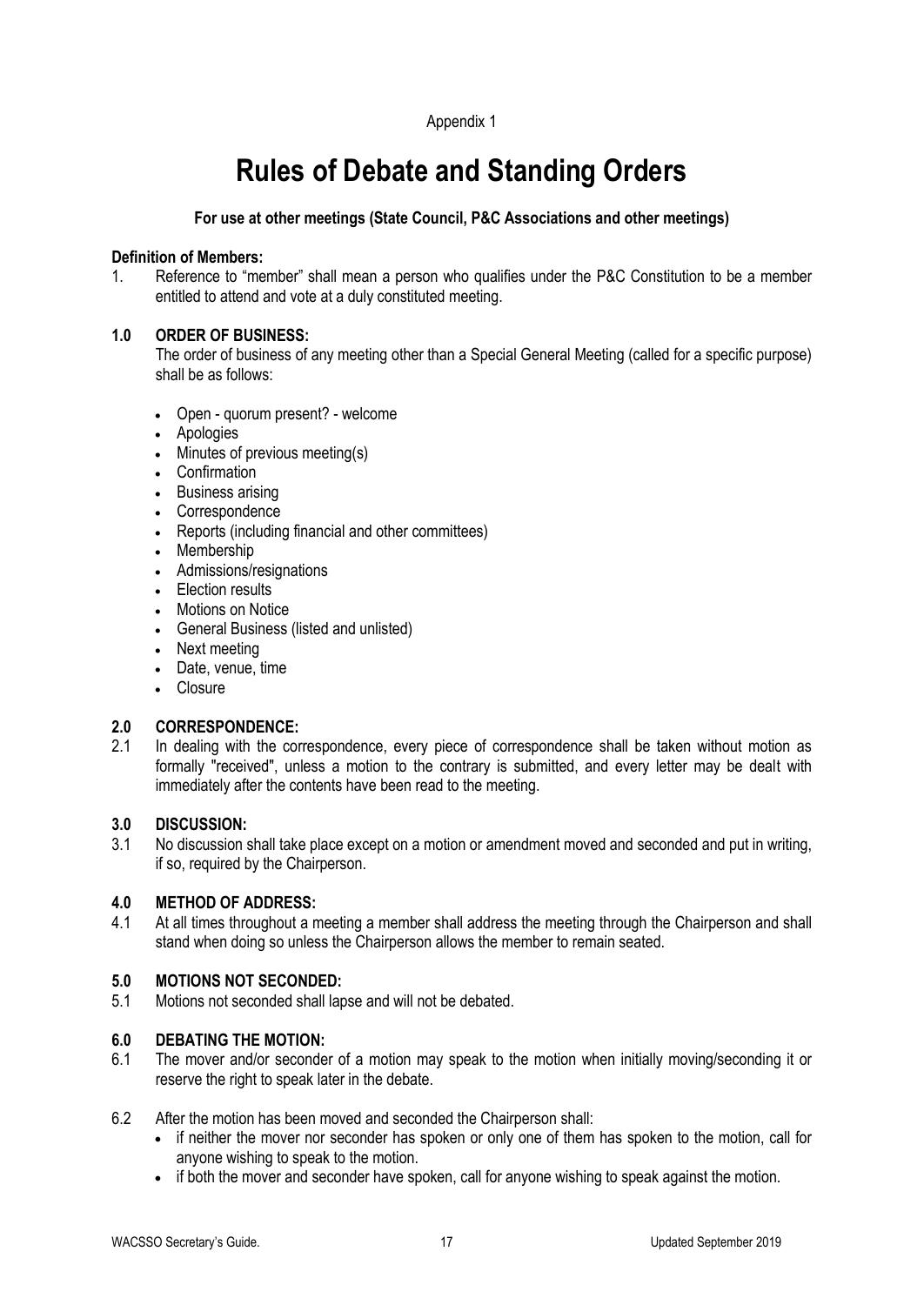#### Appendix 1

# **Rules of Debate and Standing Orders**

#### <span id="page-20-0"></span>**For use at other meetings (State Council, P&C Associations and other meetings)**

#### **Definition of Members:**

1. Reference to "member" shall mean a person who qualifies under the P&C Constitution to be a member entitled to attend and vote at a duly constituted meeting.

#### **1.0 ORDER OF BUSINESS:**

The order of business of any meeting other than a Special General Meeting (called for a specific purpose) shall be as follows:

- Open quorum present? welcome
- Apologies
- Minutes of previous meeting(s)
- Confirmation
- Business arising
- Correspondence
- Reports (including financial and other committees)
- Membership
- Admissions/resignations
- Election results
- Motions on Notice
- General Business (listed and unlisted)
- Next meeting
- Date, venue, time
- Closure

#### **2.0 CORRESPONDENCE:**

2.1 In dealing with the correspondence, every piece of correspondence shall be taken without motion as formally "received", unless a motion to the contrary is submitted, and every letter may be dealt with immediately after the contents have been read to the meeting.

#### **3.0 DISCUSSION:**

3.1 No discussion shall take place except on a motion or amendment moved and seconded and put in writing, if so, required by the Chairperson.

#### **4.0 METHOD OF ADDRESS:**

4.1 At all times throughout a meeting a member shall address the meeting through the Chairperson and shall stand when doing so unless the Chairperson allows the member to remain seated.

#### **5.0 MOTIONS NOT SECONDED:**

5.1 Motions not seconded shall lapse and will not be debated.

#### **6.0 DEBATING THE MOTION:**

- 6.1 The mover and/or seconder of a motion may speak to the motion when initially moving/seconding it or reserve the right to speak later in the debate.
- 6.2 After the motion has been moved and seconded the Chairperson shall:
	- if neither the mover nor seconder has spoken or only one of them has spoken to the motion, call for anyone wishing to speak to the motion.
	- if both the mover and seconder have spoken, call for anyone wishing to speak against the motion.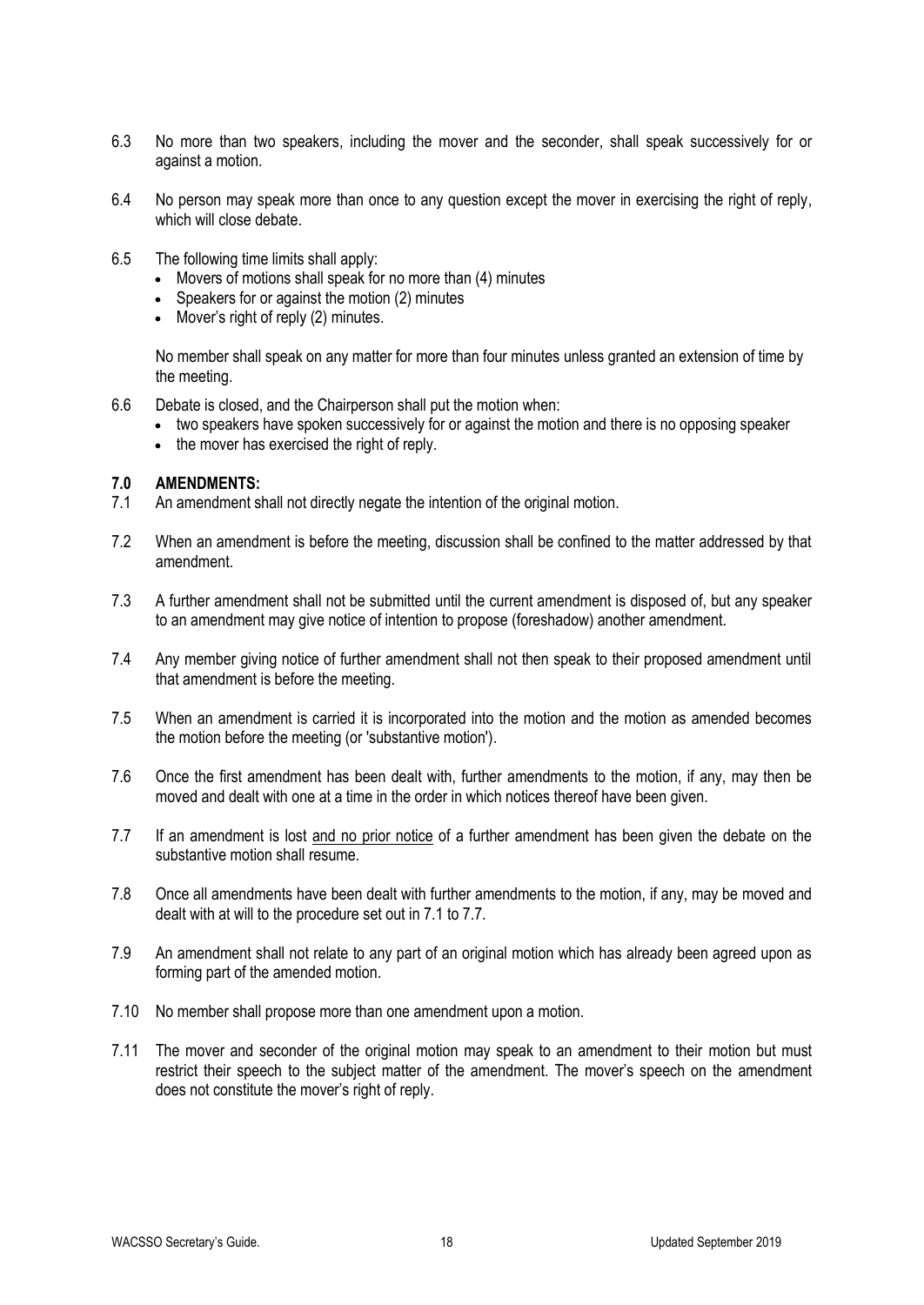- 6.3 No more than two speakers, including the mover and the seconder, shall speak successively for or against a motion.
- 6.4 No person may speak more than once to any question except the mover in exercising the right of reply, which will close debate.
- 6.5 The following time limits shall apply:
	- Movers of motions shall speak for no more than (4) minutes
	- Speakers for or against the motion (2) minutes
	- Mover's right of reply (2) minutes.

No member shall speak on any matter for more than four minutes unless granted an extension of time by the meeting.

- 6.6 Debate is closed, and the Chairperson shall put the motion when:
	- two speakers have spoken successively for or against the motion and there is no opposing speaker
	- the mover has exercised the right of reply.

#### **7.0 AMENDMENTS:**

- 7.1 An amendment shall not directly negate the intention of the original motion.
- 7.2 When an amendment is before the meeting, discussion shall be confined to the matter addressed by that amendment.
- 7.3 A further amendment shall not be submitted until the current amendment is disposed of, but any speaker to an amendment may give notice of intention to propose (foreshadow) another amendment.
- 7.4 Any member giving notice of further amendment shall not then speak to their proposed amendment until that amendment is before the meeting.
- 7.5 When an amendment is carried it is incorporated into the motion and the motion as amended becomes the motion before the meeting (or 'substantive motion').
- 7.6 Once the first amendment has been dealt with, further amendments to the motion, if any, may then be moved and dealt with one at a time in the order in which notices thereof have been given.
- 7.7 If an amendment is lost and no prior notice of a further amendment has been given the debate on the substantive motion shall resume.
- 7.8 Once all amendments have been dealt with further amendments to the motion, if any, may be moved and dealt with at will to the procedure set out in 7.1 to 7.7.
- 7.9 An amendment shall not relate to any part of an original motion which has already been agreed upon as forming part of the amended motion.
- 7.10 No member shall propose more than one amendment upon a motion.
- 7.11 The mover and seconder of the original motion may speak to an amendment to their motion but must restrict their speech to the subject matter of the amendment. The mover's speech on the amendment does not constitute the mover's right of reply.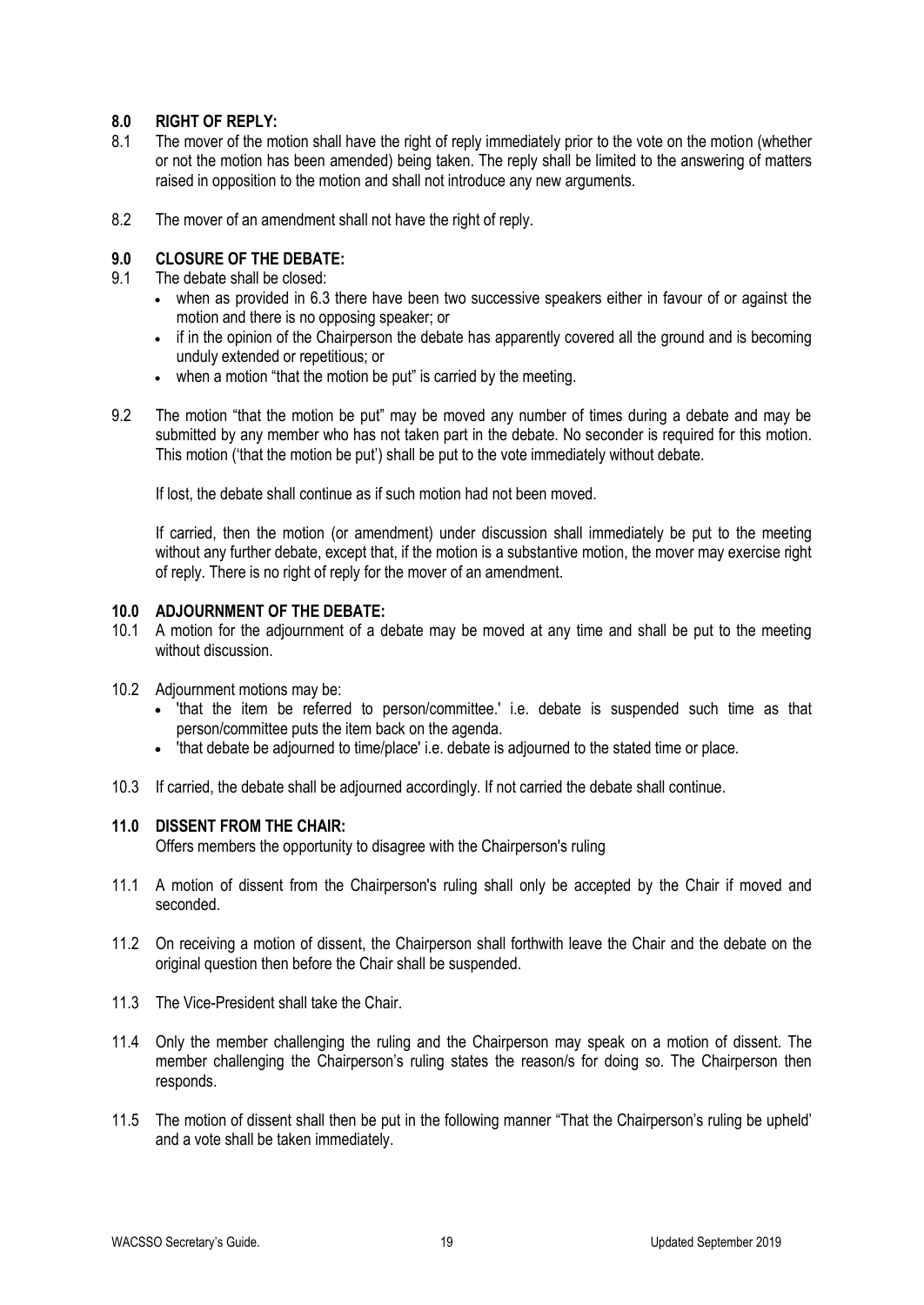#### **8.0 RIGHT OF REPLY:**

- 8.1 The mover of the motion shall have the right of reply immediately prior to the vote on the motion (whether or not the motion has been amended) being taken. The reply shall be limited to the answering of matters raised in opposition to the motion and shall not introduce any new arguments.
- 8.2 The mover of an amendment shall not have the right of reply.

#### **9.0 CLOSURE OF THE DEBATE:**

- 9.1 The debate shall be closed:
	- when as provided in 6.3 there have been two successive speakers either in favour of or against the motion and there is no opposing speaker; or
	- if in the opinion of the Chairperson the debate has apparently covered all the ground and is becoming unduly extended or repetitious; or
	- when a motion "that the motion be put" is carried by the meeting.
- 9.2 The motion "that the motion be put" may be moved any number of times during a debate and may be submitted by any member who has not taken part in the debate. No seconder is required for this motion. This motion ('that the motion be put') shall be put to the vote immediately without debate.

If lost, the debate shall continue as if such motion had not been moved.

If carried, then the motion (or amendment) under discussion shall immediately be put to the meeting without any further debate, except that, if the motion is a substantive motion, the mover may exercise right of reply. There is no right of reply for the mover of an amendment.

#### **10.0 ADJOURNMENT OF THE DEBATE:**

- 10.1 A motion for the adjournment of a debate may be moved at any time and shall be put to the meeting without discussion.
- 10.2 Adjournment motions may be:
	- 'that the item be referred to person/committee.' i.e. debate is suspended such time as that person/committee puts the item back on the agenda.
	- 'that debate be adjourned to time/place' i.e. debate is adjourned to the stated time or place.
- 10.3 If carried, the debate shall be adjourned accordingly. If not carried the debate shall continue.

#### **11.0 DISSENT FROM THE CHAIR:**

Offers members the opportunity to disagree with the Chairperson's ruling

- 11.1 A motion of dissent from the Chairperson's ruling shall only be accepted by the Chair if moved and seconded.
- 11.2 On receiving a motion of dissent, the Chairperson shall forthwith leave the Chair and the debate on the original question then before the Chair shall be suspended.
- 11.3 The Vice-President shall take the Chair.
- 11.4 Only the member challenging the ruling and the Chairperson may speak on a motion of dissent. The member challenging the Chairperson's ruling states the reason/s for doing so. The Chairperson then responds.
- 11.5 The motion of dissent shall then be put in the following manner "That the Chairperson's ruling be upheld' and a vote shall be taken immediately.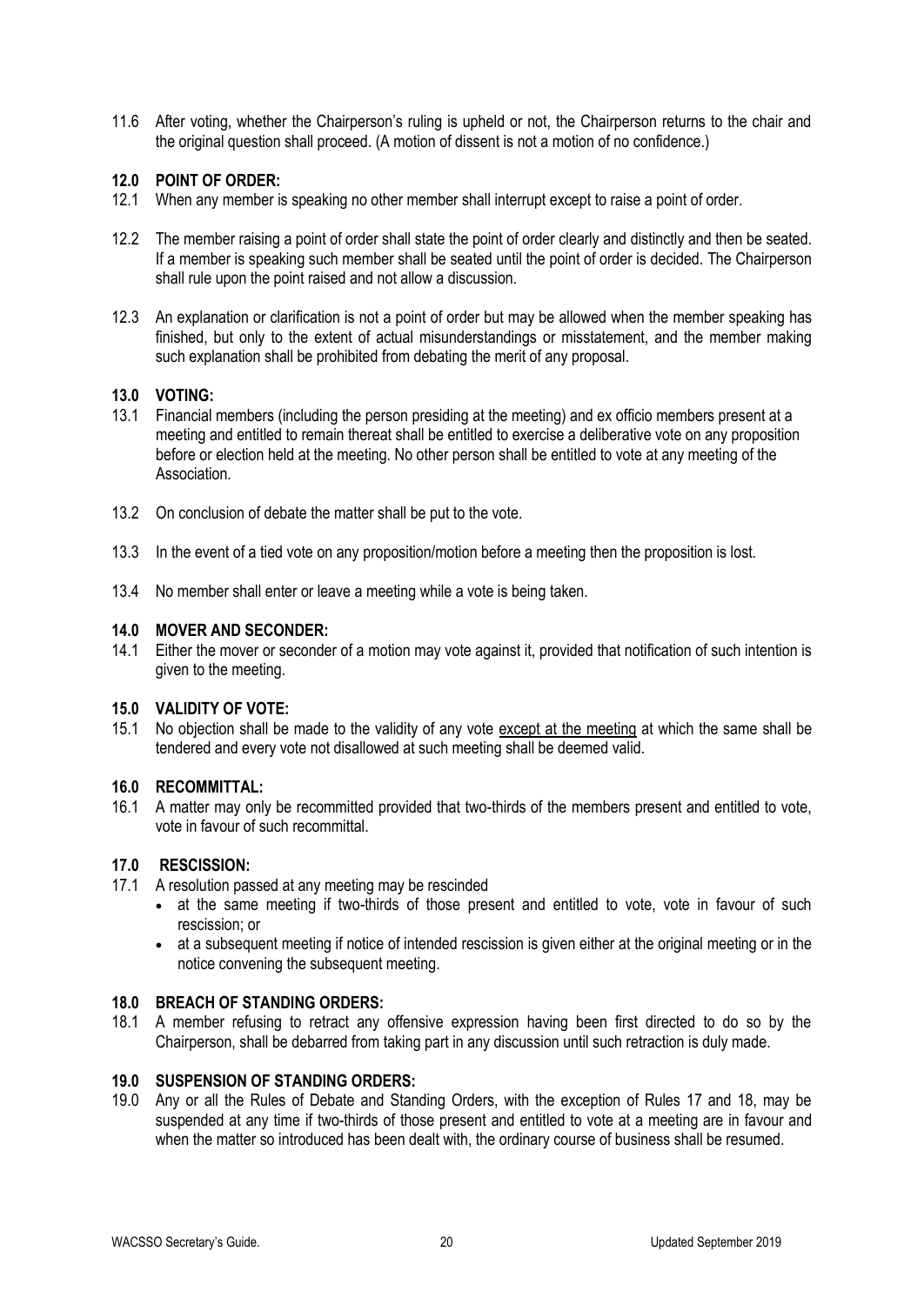11.6 After voting, whether the Chairperson's ruling is upheld or not, the Chairperson returns to the chair and the original question shall proceed. (A motion of dissent is not a motion of no confidence.)

#### **12.0 POINT OF ORDER:**

- 12.1 When any member is speaking no other member shall interrupt except to raise a point of order.
- 12.2 The member raising a point of order shall state the point of order clearly and distinctly and then be seated. If a member is speaking such member shall be seated until the point of order is decided. The Chairperson shall rule upon the point raised and not allow a discussion.
- 12.3 An explanation or clarification is not a point of order but may be allowed when the member speaking has finished, but only to the extent of actual misunderstandings or misstatement, and the member making such explanation shall be prohibited from debating the merit of any proposal.

#### **13.0 VOTING:**

- 13.1 Financial members (including the person presiding at the meeting) and ex officio members present at a meeting and entitled to remain thereat shall be entitled to exercise a deliberative vote on any proposition before or election held at the meeting. No other person shall be entitled to vote at any meeting of the Association.
- 13.2 On conclusion of debate the matter shall be put to the vote.
- 13.3 In the event of a tied vote on any proposition/motion before a meeting then the proposition is lost.
- 13.4 No member shall enter or leave a meeting while a vote is being taken.

#### **14.0 MOVER AND SECONDER:**

14.1 Either the mover or seconder of a motion may vote against it, provided that notification of such intention is given to the meeting.

#### **15.0 VALIDITY OF VOTE:**

15.1 No objection shall be made to the validity of any vote except at the meeting at which the same shall be tendered and every vote not disallowed at such meeting shall be deemed valid.

#### **16.0 RECOMMITTAL:**

16.1 A matter may only be recommitted provided that two-thirds of the members present and entitled to vote, vote in favour of such recommittal.

#### **17.0 RESCISSION:**

- 17.1 A resolution passed at any meeting may be rescinded
	- at the same meeting if two-thirds of those present and entitled to vote, vote in favour of such rescission; or
	- at a subsequent meeting if notice of intended rescission is given either at the original meeting or in the notice convening the subsequent meeting.

#### **18.0 BREACH OF STANDING ORDERS:**

18.1 A member refusing to retract any offensive expression having been first directed to do so by the Chairperson, shall be debarred from taking part in any discussion until such retraction is duly made.

#### **19.0 SUSPENSION OF STANDING ORDERS:**

19.0 Any or all the Rules of Debate and Standing Orders, with the exception of Rules 17 and 18, may be suspended at any time if two-thirds of those present and entitled to vote at a meeting are in favour and when the matter so introduced has been dealt with, the ordinary course of business shall be resumed.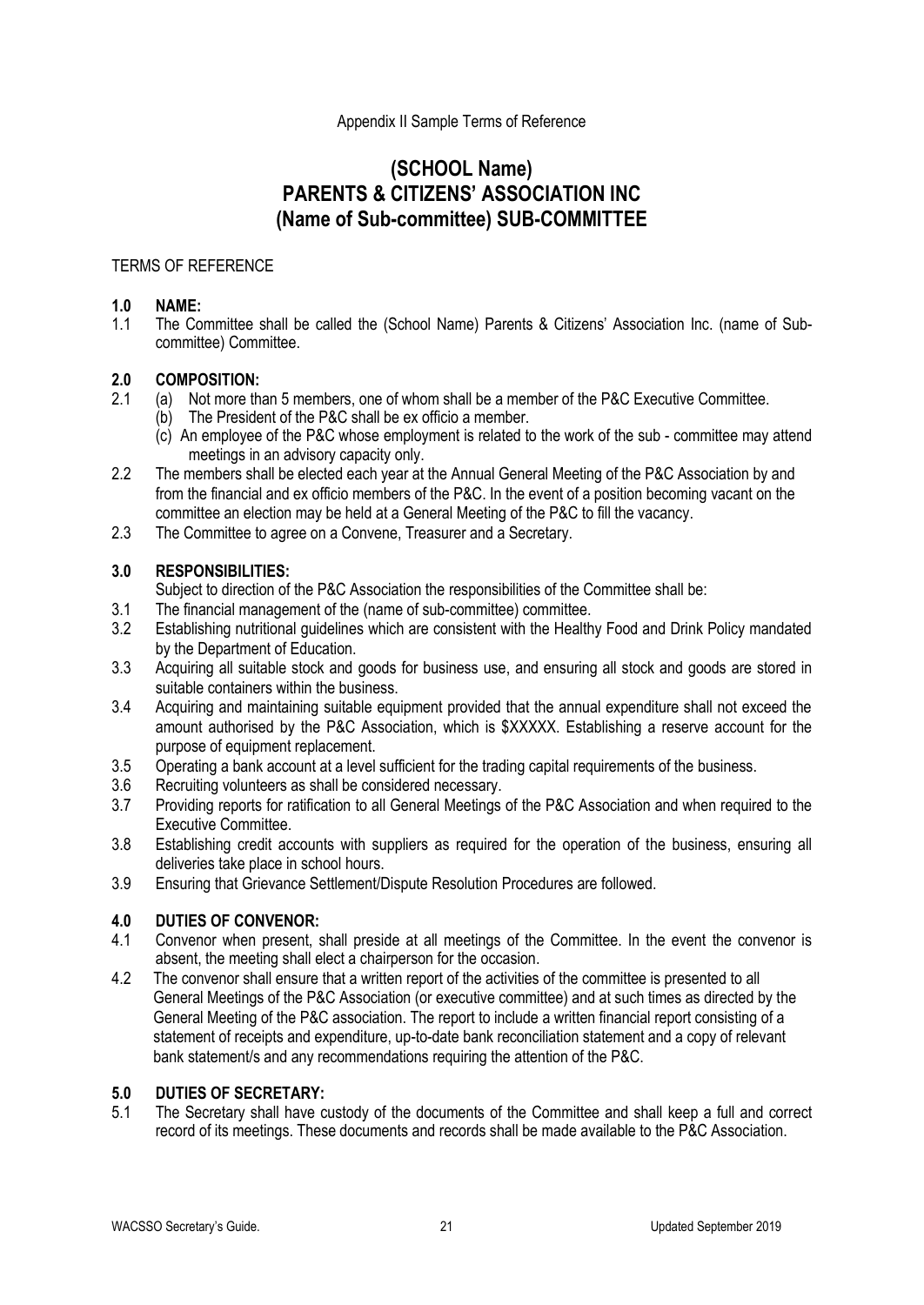#### Appendix II Sample Terms of Reference

### **(SCHOOL Name) PARENTS & CITIZENS' ASSOCIATION INC (Name of Sub-committee) SUB-COMMITTEE**

#### TERMS OF REFERENCE

# **1.0 NAME:**

1.1 The Committee shall be called the (School Name) Parents & Citizens' Association Inc. (name of Subcommittee) Committee.

# **2.0 COMPOSITION:**

- (a) Not more than 5 members, one of whom shall be a member of the P&C Executive Committee.
- (b) The President of the P&C shall be ex officio a member.
- (c) An employee of the P&C whose employment is related to the work of the sub committee may attend meetings in an advisory capacity only.
- 2.2 The members shall be elected each year at the Annual General Meeting of the P&C Association by and from the financial and ex officio members of the P&C. In the event of a position becoming vacant on the committee an election may be held at a General Meeting of the P&C to fill the vacancy.
- 2.3 The Committee to agree on a Convene, Treasurer and a Secretary.

#### **3.0 RESPONSIBILITIES:**

Subject to direction of the P&C Association the responsibilities of the Committee shall be:

- 3.1 The financial management of the (name of sub-committee) committee.
- 3.2 Establishing nutritional guidelines which are consistent with the Healthy Food and Drink Policy mandated by the Department of Education.
- 3.3 Acquiring all suitable stock and goods for business use, and ensuring all stock and goods are stored in suitable containers within the business.
- 3.4 Acquiring and maintaining suitable equipment provided that the annual expenditure shall not exceed the amount authorised by the P&C Association, which is \$XXXXX. Establishing a reserve account for the purpose of equipment replacement.
- 3.5 Operating a bank account at a level sufficient for the trading capital requirements of the business.
- 3.6 Recruiting volunteers as shall be considered necessary.
- 3.7 Providing reports for ratification to all General Meetings of the P&C Association and when required to the Executive Committee.
- 3.8 Establishing credit accounts with suppliers as required for the operation of the business, ensuring all deliveries take place in school hours.
- 3.9 Ensuring that Grievance Settlement/Dispute Resolution Procedures are followed.

#### **4.0 DUTIES OF CONVENOR:**

- 4.1 Convenor when present, shall preside at all meetings of the Committee. In the event the convenor is absent, the meeting shall elect a chairperson for the occasion.
- 4.2 The convenor shall ensure that a written report of the activities of the committee is presented to all General Meetings of the P&C Association (or executive committee) and at such times as directed by the General Meeting of the P&C association. The report to include a written financial report consisting of a statement of receipts and expenditure, up-to-date bank reconciliation statement and a copy of relevant bank statement/s and any recommendations requiring the attention of the P&C.

#### **5.0 DUTIES OF SECRETARY:**

5.1 The Secretary shall have custody of the documents of the Committee and shall keep a full and correct record of its meetings. These documents and records shall be made available to the P&C Association.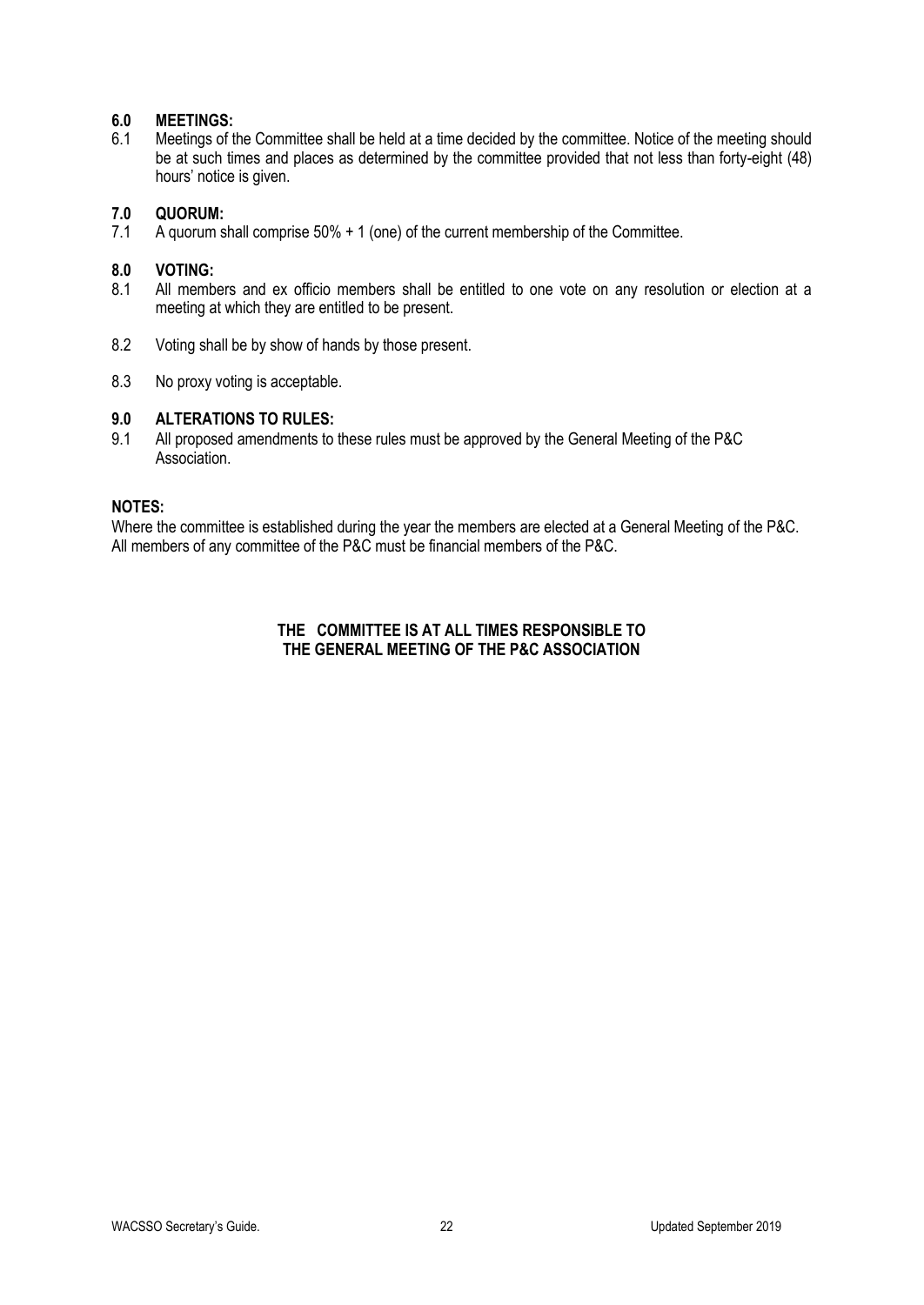#### **6.0 MEETINGS:**

6.1 Meetings of the Committee shall be held at a time decided by the committee. Notice of the meeting should be at such times and places as determined by the committee provided that not less than forty-eight (48) hours' notice is given.

# **7.0 QUORUM:**

A quorum shall comprise 50% + 1 (one) of the current membership of the Committee.

#### **8.0 VOTING:**

- 8.1 All members and ex officio members shall be entitled to one vote on any resolution or election at a meeting at which they are entitled to be present.
- 8.2 Voting shall be by show of hands by those present.
- 8.3 No proxy voting is acceptable.

#### **9.0 ALTERATIONS TO RULES:**

9.1 All proposed amendments to these rules must be approved by the General Meeting of the P&C Association.

#### **NOTES:**

Where the committee is established during the year the members are elected at a General Meeting of the P&C. All members of any committee of the P&C must be financial members of the P&C.

#### **THE COMMITTEE IS AT ALL TIMES RESPONSIBLE TO THE GENERAL MEETING OF THE P&C ASSOCIATION**